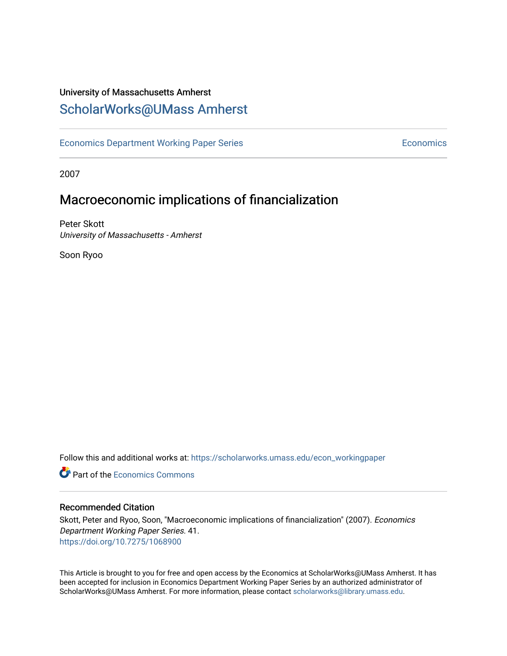## University of Massachusetts Amherst [ScholarWorks@UMass Amherst](https://scholarworks.umass.edu/)

[Economics Department Working Paper Series](https://scholarworks.umass.edu/econ_workingpaper) **Economics** Economics

2007

## Macroeconomic implications of financialization

Peter Skott University of Massachusetts - Amherst

Soon Ryoo

Follow this and additional works at: [https://scholarworks.umass.edu/econ\\_workingpaper](https://scholarworks.umass.edu/econ_workingpaper?utm_source=scholarworks.umass.edu%2Fecon_workingpaper%2F41&utm_medium=PDF&utm_campaign=PDFCoverPages) 

**C** Part of the [Economics Commons](http://network.bepress.com/hgg/discipline/340?utm_source=scholarworks.umass.edu%2Fecon_workingpaper%2F41&utm_medium=PDF&utm_campaign=PDFCoverPages)

#### Recommended Citation

Skott, Peter and Ryoo, Soon, "Macroeconomic implications of financialization" (2007). Economics Department Working Paper Series. 41. <https://doi.org/10.7275/1068900>

This Article is brought to you for free and open access by the Economics at ScholarWorks@UMass Amherst. It has been accepted for inclusion in Economics Department Working Paper Series by an authorized administrator of ScholarWorks@UMass Amherst. For more information, please contact [scholarworks@library.umass.edu.](mailto:scholarworks@library.umass.edu)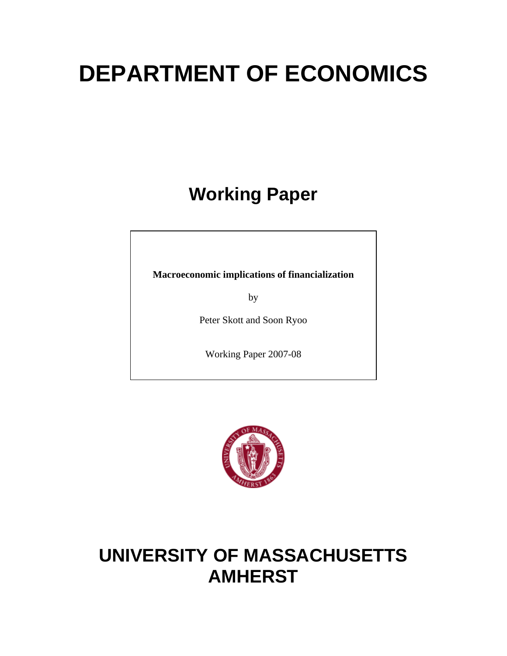# **DEPARTMENT OF ECONOMICS**

**Working Paper** 

**Macroeconomic implications of financialization** 

by

Peter Skott and Soon Ryoo

Working Paper 2007-08



## **UNIVERSITY OF MASSACHUSETTS AMHERST**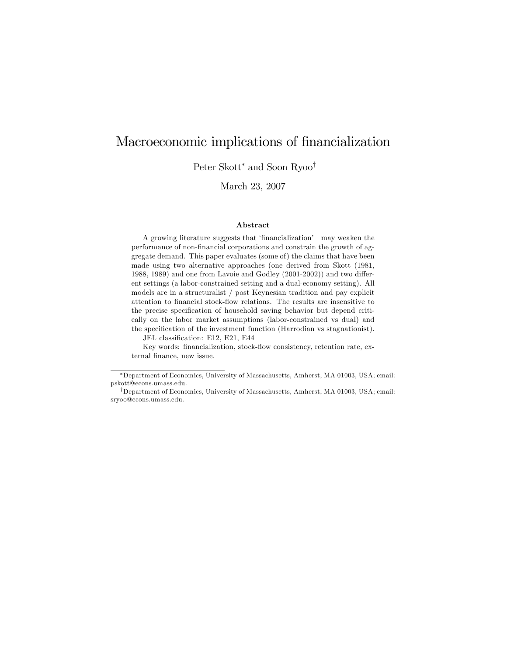## Macroeconomic implications of financialization

Peter Skott<sup>\*</sup> and Soon Ryoo<sup>†</sup>

March 23, 2007

#### Abstract

A growing literature suggests that 'financialization' may weaken the performance of non-financial corporations and constrain the growth of aggregate demand. This paper evaluates (some of) the claims that have been made using two alternative approaches (one derived from Skott (1981, 1988, 1989) and one from Lavoie and Godley  $(2001-2002)$  and two different settings (a labor-constrained setting and a dual-economy setting). All models are in a structuralist / post Keynesian tradition and pay explicit attention to financial stock-flow relations. The results are insensitive to the precise specification of household saving behavior but depend critically on the labor market assumptions (labor-constrained vs dual) and the specification of the investment function (Harrodian vs stagnationist).

JEL classification: E12, E21, E44

Key words: financialization, stock-flow consistency, retention rate, external finance, new issue.

Department of Economics, University of Massachusetts, Amherst, MA 01003, USA; email: pskott@econs.umass.edu.

<sup>&</sup>lt;sup>†</sup>Department of Economics, University of Massachusetts, Amherst, MA 01003, USA; email: sryoo@econs.umass.edu.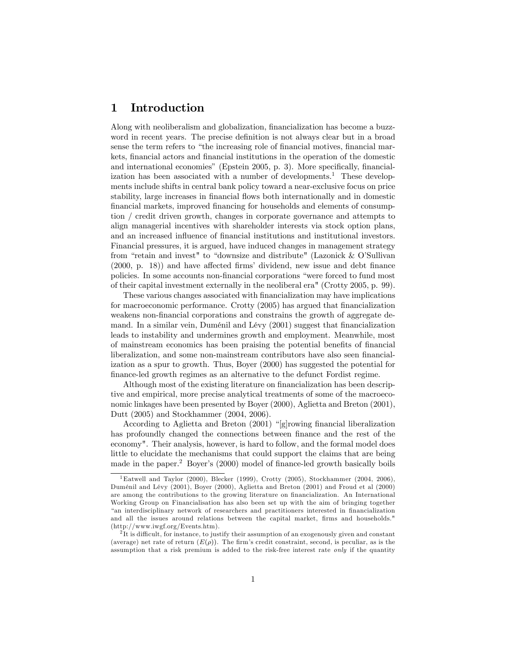## 1 Introduction

Along with neoliberalism and globalization, financialization has become a buzzword in recent years. The precise definition is not always clear but in a broad sense the term refers to "the increasing role of financial motives, financial markets, financial actors and financial institutions in the operation of the domestic and international economies" (Epstein 2005, p. 3). More specifically, financialization has been associated with a number of developments.<sup>1</sup> These developments include shifts in central bank policy toward a near-exclusive focus on price stability, large increases in financial flows both internationally and in domestic financial markets, improved financing for households and elements of consumption / credit driven growth, changes in corporate governance and attempts to align managerial incentives with shareholder interests via stock option plans, and an increased influence of financial institutions and institutional investors. Financial pressures, it is argued, have induced changes in management strategy from "retain and invest" to "downsize and distribute" (Lazonick  $&$  O'Sullivan  $(2000, p. 18)$  and have affected firms' dividend, new issue and debt finance policies. In some accounts non-financial corporations "were forced to fund most of their capital investment externally in the neoliberal era" (Crotty 2005, p. 99).

These various changes associated with Önancialization may have implications for macroeconomic performance. Crotty (2005) has argued that financialization weakens non-Önancial corporations and constrains the growth of aggregate demand. In a similar vein, Duménil and Lévy (2001) suggest that financialization leads to instability and undermines growth and employment. Meanwhile, most of mainstream economics has been praising the potential benefits of financial liberalization, and some non-mainstream contributors have also seen financialization as a spur to growth. Thus, Boyer (2000) has suggested the potential for Önance-led growth regimes as an alternative to the defunct Fordist regime.

Although most of the existing literature on financialization has been descriptive and empirical, more precise analytical treatments of some of the macroeconomic linkages have been presented by Boyer (2000), Aglietta and Breton (2001), Dutt (2005) and Stockhammer (2004, 2006).

According to Aglietta and Breton  $(2001)$  "[g]rowing financial liberalization has profoundly changed the connections between finance and the rest of the economy". Their analysis, however, is hard to follow, and the formal model does little to elucidate the mechanisms that could support the claims that are being made in the paper.<sup>2</sup> Boyer's (2000) model of finance-led growth basically boils

<sup>&</sup>lt;sup>1</sup>Eatwell and Taylor (2000), Blecker (1999), Crotty (2005), Stockhammer (2004, 2006), DumÈnil and LÈvy (2001), Boyer (2000), Aglietta and Breton (2001) and Froud et al (2000) are among the contributions to the growing literature on financialization. An International Working Group on Financialisation has also been set up with the aim of bringing together ìan interdisciplinary network of researchers and practitioners interested in Önancialization and all the issues around relations between the capital market, firms and households." (http://www.iwgf.org/Events.htm).

 $2$ It is difficult, for instance, to justify their assumption of an exogenously given and constant (average) net rate of return  $(E(\rho))$ . The firm's credit constraint, second, is peculiar, as is the assumption that a risk premium is added to the risk-free interest rate only if the quantity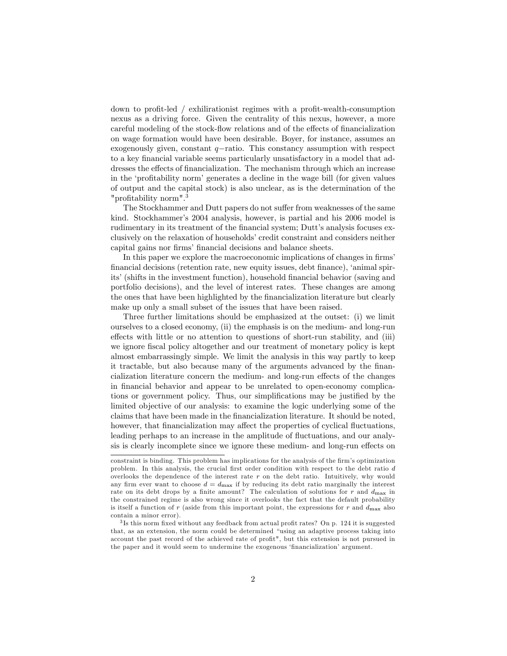down to profit-led / exhilirationist regimes with a profit-wealth-consumption nexus as a driving force. Given the centrality of this nexus, however, a more careful modeling of the stock-flow relations and of the effects of financialization on wage formation would have been desirable. Boyer, for instance, assumes an exogenously given, constant  $q$ -ratio. This constancy assumption with respect to a key financial variable seems particularly unsatisfactory in a model that addresses the effects of financialization. The mechanism through which an increase in the 'profitability norm' generates a decline in the wage bill (for given values of output and the capital stock) is also unclear, as is the determination of the "profitability norm".<sup>3</sup>

The Stockhammer and Dutt papers do not suffer from weaknesses of the same kind. Stockhammer's 2004 analysis, however, is partial and his 2006 model is rudimentary in its treatment of the financial system; Dutt's analysis focuses exclusively on the relaxation of households' credit constraint and considers neither capital gains nor firms' financial decisions and balance sheets.

In this paper we explore the macroeconomic implications of changes in firms' Önancial decisions (retention rate, new equity issues, debt Önance), ëanimal spirits' (shifts in the investment function), household financial behavior (saving and portfolio decisions), and the level of interest rates. These changes are among the ones that have been highlighted by the financialization literature but clearly make up only a small subset of the issues that have been raised.

Three further limitations should be emphasized at the outset: (i) we limit ourselves to a closed economy, (ii) the emphasis is on the medium- and long-run effects with little or no attention to questions of short-run stability, and (iii) we ignore fiscal policy altogether and our treatment of monetary policy is kept almost embarrassingly simple. We limit the analysis in this way partly to keep it tractable, but also because many of the arguments advanced by the Önancialization literature concern the medium- and long-run effects of the changes in financial behavior and appear to be unrelated to open-economy complications or government policy. Thus, our simplifications may be justified by the limited objective of our analysis: to examine the logic underlying some of the claims that have been made in the Önancialization literature. It should be noted, however, that financialization may affect the properties of cyclical fluctuations, leading perhaps to an increase in the amplitude of fluctuations, and our analysis is clearly incomplete since we ignore these medium- and long-run effects on

constraint is binding. This problem has implications for the analysis of the firm's optimization problem. In this analysis, the crucial first order condition with respect to the debt ratio  $d$ overlooks the dependence of the interest rate  $r$  on the debt ratio. Intuitively, why would any firm ever want to choose  $d = d_{\text{max}}$  if by reducing its debt ratio marginally the interest rate on its debt drops by a finite amount? The calculation of solutions for r and  $d_{\text{max}}$  in the constrained regime is also wrong since it overlooks the fact that the default probability is itself a function of r (aside from this important point, the expressions for r and  $d_{\text{max}}$  also contain a minor error).

 $3$ Is this norm fixed without any feedback from actual profit rates? On p. 124 it is suggested that, as an extension, the norm could be determined "using an adaptive process taking into account the past record of the achieved rate of profit", but this extension is not pursued in the paper and it would seem to undermine the exogenous 'financialization' argument.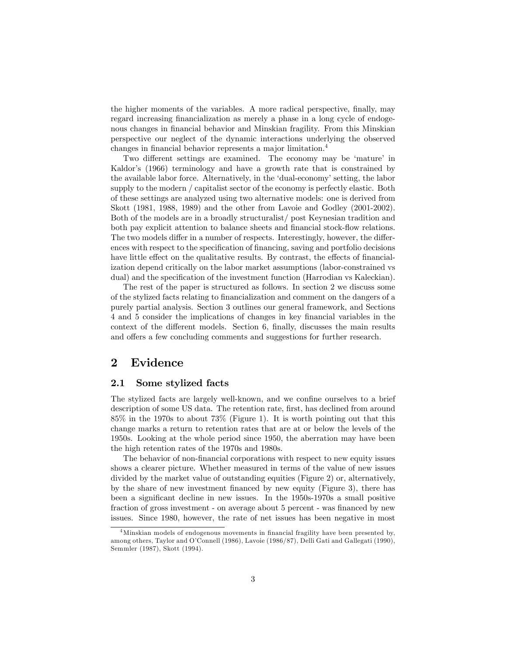the higher moments of the variables. A more radical perspective, finally, may regard increasing financialization as merely a phase in a long cycle of endogenous changes in financial behavior and Minskian fragility. From this Minskian perspective our neglect of the dynamic interactions underlying the observed changes in financial behavior represents a major limitation.<sup>4</sup>

Two different settings are examined. The economy may be 'mature' in Kaldor's (1966) terminology and have a growth rate that is constrained by the available labor force. Alternatively, in the 'dual-economy' setting, the labor supply to the modern / capitalist sector of the economy is perfectly elastic. Both of these settings are analyzed using two alternative models: one is derived from Skott (1981, 1988, 1989) and the other from Lavoie and Godley (2001-2002). Both of the models are in a broadly structuralist/ post Keynesian tradition and both pay explicit attention to balance sheets and financial stock-flow relations. The two models differ in a number of respects. Interestingly, however, the differences with respect to the specification of financing, saving and portfolio decisions have little effect on the qualitative results. By contrast, the effects of financialization depend critically on the labor market assumptions (labor-constrained vs dual) and the specification of the investment function (Harrodian vs Kaleckian).

The rest of the paper is structured as follows. In section 2 we discuss some of the stylized facts relating to Önancialization and comment on the dangers of a purely partial analysis. Section 3 outlines our general framework, and Sections 4 and 5 consider the implications of changes in key Önancial variables in the context of the different models. Section  $6$ , finally, discusses the main results and offers a few concluding comments and suggestions for further research.

## 2 Evidence

#### 2.1 Some stylized facts

The stylized facts are largely well-known, and we confine ourselves to a brief description of some US data. The retention rate, first, has declined from around 85% in the 1970s to about 73% (Figure 1). It is worth pointing out that this change marks a return to retention rates that are at or below the levels of the 1950s. Looking at the whole period since 1950, the aberration may have been the high retention rates of the 1970s and 1980s.

The behavior of non-Önancial corporations with respect to new equity issues shows a clearer picture. Whether measured in terms of the value of new issues divided by the market value of outstanding equities (Figure 2) or, alternatively, by the share of new investment financed by new equity (Figure 3), there has been a significant decline in new issues. In the 1950s-1970s a small positive fraction of gross investment - on average about 5 percent - was financed by new issues. Since 1980, however, the rate of net issues has been negative in most

<sup>&</sup>lt;sup>4</sup>Minskian models of endogenous movements in financial fragility have been presented by, among others, Taylor and O'Connell (1986), Lavoie (1986/87), Delli Gati and Gallegati (1990), Semmler (1987), Skott (1994).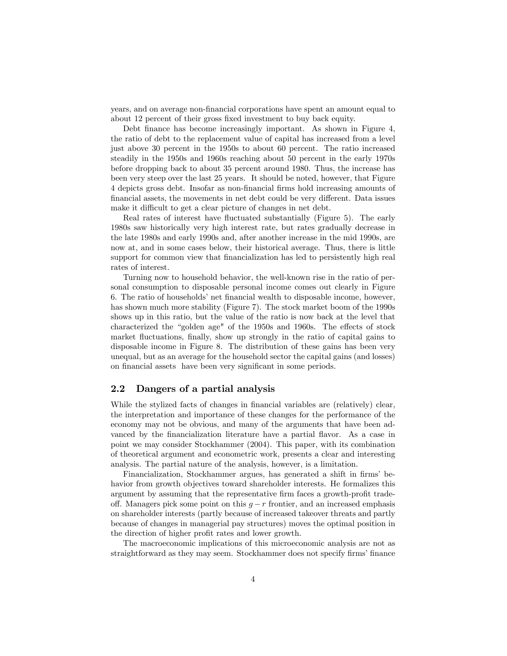years, and on average non-Önancial corporations have spent an amount equal to about 12 percent of their gross fixed investment to buy back equity.

Debt finance has become increasingly important. As shown in Figure 4, the ratio of debt to the replacement value of capital has increased from a level just above 30 percent in the 1950s to about 60 percent. The ratio increased steadily in the 1950s and 1960s reaching about 50 percent in the early 1970s before dropping back to about 35 percent around 1980. Thus, the increase has been very steep over the last 25 years. It should be noted, however, that Figure 4 depicts gross debt. Insofar as non-Önancial Örms hold increasing amounts of financial assets, the movements in net debt could be very different. Data issues make it difficult to get a clear picture of changes in net debt.

Real rates of interest have fluctuated substantially (Figure 5). The early 1980s saw historically very high interest rate, but rates gradually decrease in the late 1980s and early 1990s and, after another increase in the mid 1990s, are now at, and in some cases below, their historical average. Thus, there is little support for common view that financialization has led to persistently high real rates of interest.

Turning now to household behavior, the well-known rise in the ratio of personal consumption to disposable personal income comes out clearly in Figure 6. The ratio of households' net financial wealth to disposable income, however, has shown much more stability (Figure 7). The stock market boom of the 1990s shows up in this ratio, but the value of the ratio is now back at the level that characterized the "golden age" of the  $1950s$  and  $1960s$ . The effects of stock market fluctuations, finally, show up strongly in the ratio of capital gains to disposable income in Figure 8. The distribution of these gains has been very unequal, but as an average for the household sector the capital gains (and losses) on financial assets have been very significant in some periods.

#### 2.2 Dangers of a partial analysis

While the stylized facts of changes in financial variables are (relatively) clear, the interpretation and importance of these changes for the performance of the economy may not be obvious, and many of the arguments that have been advanced by the financialization literature have a partial flavor. As a case in point we may consider Stockhammer (2004). This paper, with its combination of theoretical argument and econometric work, presents a clear and interesting analysis. The partial nature of the analysis, however, is a limitation.

Financialization, Stockhammer argues, has generated a shift in firms behavior from growth objectives toward shareholder interests. He formalizes this argument by assuming that the representative firm faces a growth-profit tradeoff. Managers pick some point on this  $g - r$  frontier, and an increased emphasis on shareholder interests (partly because of increased takeover threats and partly because of changes in managerial pay structures) moves the optimal position in the direction of higher profit rates and lower growth.

The macroeconomic implications of this microeconomic analysis are not as straightforward as they may seem. Stockhammer does not specify firms' finance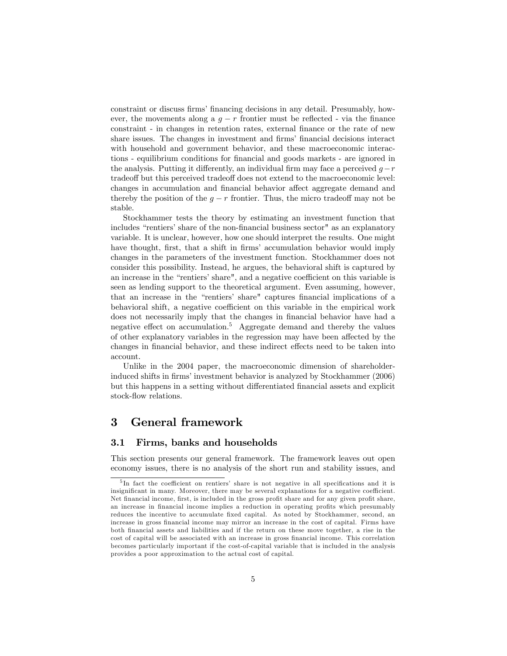constraint or discuss firms' financing decisions in any detail. Presumably, however, the movements along a  $g - r$  frontier must be reflected - via the finance constraint - in changes in retention rates, external finance or the rate of new share issues. The changes in investment and firms' financial decisions interact with household and government behavior, and these macroeconomic interactions - equilibrium conditions for financial and goods markets - are ignored in the analysis. Putting it differently, an individual firm may face a perceived  $q-r$ tradeoff but this perceived tradeoff does not extend to the macroeconomic level: changes in accumulation and financial behavior affect aggregate demand and thereby the position of the  $g - r$  frontier. Thus, the micro tradeoff may not be stable.

Stockhammer tests the theory by estimating an investment function that includes "rentiers' share of the non-financial business sector" as an explanatory variable. It is unclear, however, how one should interpret the results. One might have thought, first, that a shift in firms' accumulation behavior would imply changes in the parameters of the investment function. Stockhammer does not consider this possibility. Instead, he argues, the behavioral shift is captured by an increase in the "rentiers' share", and a negative coefficient on this variable is seen as lending support to the theoretical argument. Even assuming, however, that an increase in the "rentiers' share" captures financial implications of a behavioral shift, a negative coefficient on this variable in the empirical work does not necessarily imply that the changes in Önancial behavior have had a negative effect on accumulation.<sup>5</sup> Aggregate demand and thereby the values of other explanatory variables in the regression may have been affected by the changes in financial behavior, and these indirect effects need to be taken into account.

Unlike in the 2004 paper, the macroeconomic dimension of shareholderinduced shifts in firms' investment behavior is analyzed by Stockhammer (2006) but this happens in a setting without differentiated financial assets and explicit stock-flow relations.

## 3 General framework

#### 3.1 Firms, banks and households

This section presents our general framework. The framework leaves out open economy issues, there is no analysis of the short run and stability issues, and

<sup>&</sup>lt;sup>5</sup>In fact the coefficient on rentiers' share is not negative in all specifications and it is insignificant in many. Moreover, there may be several explanations for a negative coefficient. Net financial income, first, is included in the gross profit share and for any given profit share, an increase in financial income implies a reduction in operating profits which presumably reduces the incentive to accumulate fixed capital. As noted by Stockhammer, second, an increase in gross financial income may mirror an increase in the cost of capital. Firms have both Önancial assets and liabilities and if the return on these move together, a rise in the cost of capital will be associated with an increase in gross Önancial income. This correlation becomes particularly important if the cost-of-capital variable that is included in the analysis provides a poor approximation to the actual cost of capital.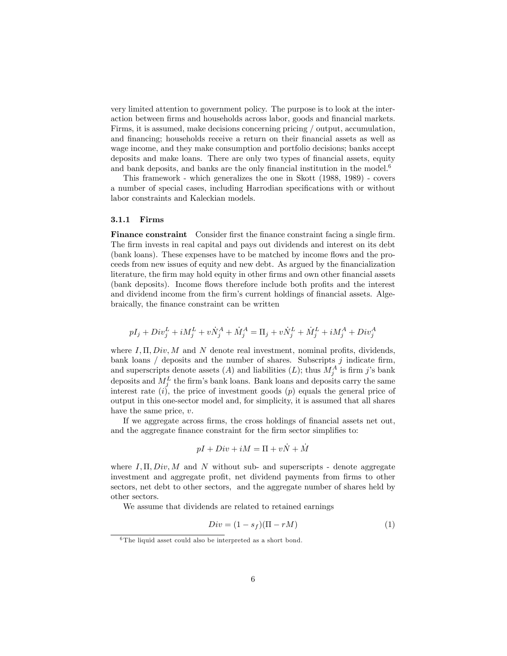very limited attention to government policy. The purpose is to look at the interaction between firms and households across labor, goods and financial markets. Firms, it is assumed, make decisions concerning pricing / output, accumulation, and financing; households receive a return on their financial assets as well as wage income, and they make consumption and portfolio decisions; banks accept deposits and make loans. There are only two types of financial assets, equity and bank deposits, and banks are the only financial institution in the model.<sup>6</sup>

This framework - which generalizes the one in Skott (1988, 1989) - covers a number of special cases, including Harrodian specifications with or without labor constraints and Kaleckian models.

#### 3.1.1 Firms

Finance constraint Consider first the finance constraint facing a single firm. The firm invests in real capital and pays out dividends and interest on its debt (bank loans). These expenses have to be matched by income flows and the proceeds from new issues of equity and new debt. As argued by the Önancialization literature, the firm may hold equity in other firms and own other financial assets (bank deposits). Income flows therefore include both profits and the interest and dividend income from the firm's current holdings of financial assets. Algebraically, the Önance constraint can be written

$$
pI_j+Div^L_j+iM^L_j+v\dot{N}^A_j+\dot{M}^A_j=\Pi_j+v\dot{N}^L_j+\dot{M}^L_j+iM^A_j+Div^A_j
$$

where  $I, \Pi, Div, M$  and N denote real investment, nominal profits, dividends, bank loans  $\ell$  deposits and the number of shares. Subscripts  $j$  indicate firm, and superscripts denote assets  $(A)$  and liabilities  $(L)$ ; thus  $M_j^A$  is firm j's bank deposits and  $M_j^L$  the firm's bank loans. Bank loans and deposits carry the same interest rate  $(i)$ , the price of investment goods  $(p)$  equals the general price of output in this one-sector model and, for simplicity, it is assumed that all shares have the same price, v.

If we aggregate across firms, the cross holdings of financial assets net out, and the aggregate finance constraint for the firm sector simplifies to:

$$
pI + Div + iM = \Pi + v\dot{N} + \dot{M}
$$

where  $I, \Pi, Div, M$  and N without sub- and superscripts - denote aggregate investment and aggregate profit, net dividend payments from firms to other sectors, net debt to other sectors, and the aggregate number of shares held by other sectors.

We assume that dividends are related to retained earnings

$$
Div = (1 - s_f)(\Pi - rM) \tag{1}
$$

<sup>&</sup>lt;sup>6</sup>The liquid asset could also be interpreted as a short bond.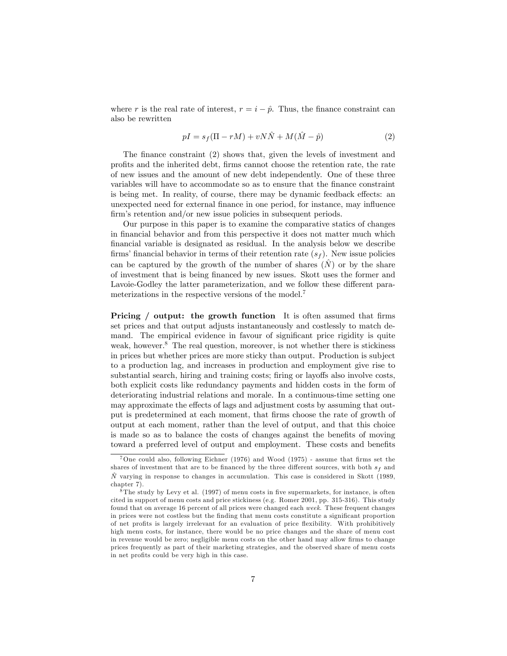where r is the real rate of interest,  $r = i - \hat{p}$ . Thus, the finance constraint can also be rewritten

$$
pI = s_f(\Pi - rM) + vN\hat{N} + M(\hat{M} - \hat{p})
$$
\n(2)

The finance constraint (2) shows that, given the levels of investment and profits and the inherited debt, firms cannot choose the retention rate, the rate of new issues and the amount of new debt independently. One of these three variables will have to accommodate so as to ensure that the finance constraint is being met. In reality, of course, there may be dynamic feedback effects: an unexpected need for external finance in one period, for instance, may influence firm's retention and/or new issue policies in subsequent periods.

Our purpose in this paper is to examine the comparative statics of changes in financial behavior and from this perspective it does not matter much which Önancial variable is designated as residual. In the analysis below we describe firms' financial behavior in terms of their retention rate  $(s_f)$ . New issue policies can be captured by the growth of the number of shares  $(N)$  or by the share of investment that is being Önanced by new issues. Skott uses the former and Lavoie-Godley the latter parameterization, and we follow these different parameterizations in the respective versions of the model.<sup>7</sup>

**Pricing** / output: the growth function It is often assumed that firms set prices and that output adjusts instantaneously and costlessly to match demand. The empirical evidence in favour of significant price rigidity is quite weak, however. $8$  The real question, moreover, is not whether there is stickiness in prices but whether prices are more sticky than output. Production is subject to a production lag, and increases in production and employment give rise to substantial search, hiring and training costs; firing or layoffs also involve costs, both explicit costs like redundancy payments and hidden costs in the form of deteriorating industrial relations and morale. In a continuous-time setting one may approximate the effects of lags and adjustment costs by assuming that output is predetermined at each moment, that firms choose the rate of growth of output at each moment, rather than the level of output, and that this choice is made so as to balance the costs of changes against the benefits of moving toward a preferred level of output and employment. These costs and benefits

<sup>&</sup>lt;sup>7</sup>One could also, following Eichner (1976) and Wood (1975) - assume that firms set the shares of investment that are to be financed by the three different sources, with both  $s_f$  and  $\hat{N}$  varying in response to changes in accumulation. This case is considered in Skott (1989, chapter 7).

 $8$ The study by Levy et al. (1997) of menu costs in five supermarkets, for instance, is often cited in support of menu costs and price stickiness (e.g. Romer 2001, pp. 315-316). This study found that on average 16 percent of all prices were changed each week. These frequent changes in prices were not costless but the finding that menu costs constitute a significant proportion of net profits is largely irrelevant for an evaluation of price flexibility. With prohibitively high menu costs, for instance, there would be no price changes and the share of menu cost in revenue would be zero; negligible menu costs on the other hand may allow firms to change prices frequently as part of their marketing strategies, and the observed share of menu costs in net profits could be very high in this case.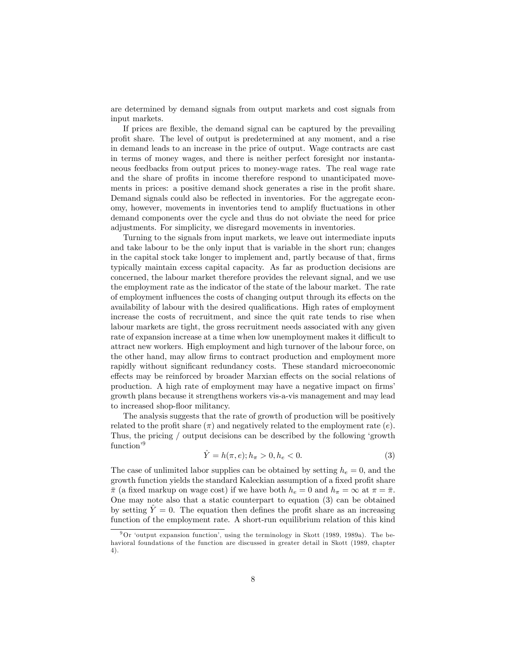are determined by demand signals from output markets and cost signals from input markets.

If prices are flexible, the demand signal can be captured by the prevailing proÖt share. The level of output is predetermined at any moment, and a rise in demand leads to an increase in the price of output. Wage contracts are cast in terms of money wages, and there is neither perfect foresight nor instantaneous feedbacks from output prices to money-wage rates. The real wage rate and the share of profits in income therefore respond to unanticipated movements in prices: a positive demand shock generates a rise in the profit share. Demand signals could also be reflected in inventories. For the aggregate economy, however, movements in inventories tend to amplify áuctuations in other demand components over the cycle and thus do not obviate the need for price adjustments. For simplicity, we disregard movements in inventories.

Turning to the signals from input markets, we leave out intermediate inputs and take labour to be the only input that is variable in the short run; changes in the capital stock take longer to implement and, partly because of that, firms typically maintain excess capital capacity. As far as production decisions are concerned, the labour market therefore provides the relevant signal, and we use the employment rate as the indicator of the state of the labour market. The rate of employment influences the costs of changing output through its effects on the availability of labour with the desired qualifications. High rates of employment increase the costs of recruitment, and since the quit rate tends to rise when labour markets are tight, the gross recruitment needs associated with any given rate of expansion increase at a time when low unemployment makes it difficult to attract new workers. High employment and high turnover of the labour force, on the other hand, may allow firms to contract production and employment more rapidly without significant redundancy costs. These standard microeconomic effects may be reinforced by broader Marxian effects on the social relations of production. A high rate of employment may have a negative impact on firms' growth plans because it strengthens workers vis-a-vis management and may lead to increased shop-floor militancy.

The analysis suggests that the rate of growth of production will be positively related to the profit share  $(\pi)$  and negatively related to the employment rate  $(e)$ . Thus, the pricing / output decisions can be described by the following 'growth  $function<sup>9</sup>$ 

$$
\hat{Y} = h(\pi, e); h_{\pi} > 0, h_e < 0.
$$
\n(3)

The case of unlimited labor supplies can be obtained by setting  $h_e = 0$ , and the growth function yields the standard Kaleckian assumption of a fixed profit share  $\bar{\pi}$  (a fixed markup on wage cost) if we have both  $h_e = 0$  and  $h_{\pi} = \infty$  at  $\pi = \bar{\pi}$ . One may note also that a static counterpart to equation (3) can be obtained by setting  $\hat{Y} = 0$ . The equation then defines the profit share as an increasing function of the employment rate. A short-run equilibrium relation of this kind

 $9$ Or 'output expansion function', using the terminology in Skott (1989, 1989a). The behavioral foundations of the function are discussed in greater detail in Skott (1989, chapter 4).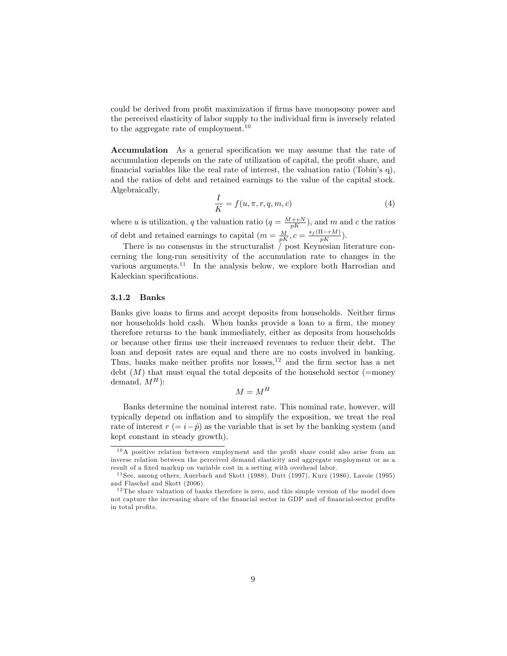could be derived from profit maximization if firms have monopsony power and the perceived elasticity of labor supply to the individual firm is inversely related to the aggregate rate of employment.<sup>10</sup>

**Accumulation** As a general specification we may assume that the rate of accumulation depends on the rate of utilization of capital, the profit share, and financial variables like the real rate of interest, the valuation ratio (Tobin's q), and the ratios of debt and retained earnings to the value of the capital stock. Algebraically,

$$
\frac{I}{K} = f(u, \pi, r, q, m, c) \tag{4}
$$

where u is utilization, q the valuation ratio  $(q = \frac{M + vN}{pK})$ , and m and c the ratios of debt and retained earnings to capital  $(m = \frac{M}{pK}, c = \frac{s_f(\Pi - rM)}{pK})$ .

There is no consensus in the structuralist  $\int$  post Keynesian literature concerning the long-run sensitivity of the accumulation rate to changes in the various arguments.<sup>11</sup> In the analysis below, we explore both Harrodian and Kaleckian specifications.

#### 3.1.2 Banks

Banks give loans to firms and accept deposits from households. Neither firms nor households hold cash. When banks provide a loan to a firm, the money therefore returns to the bank immediately, either as deposits from households or because other Örms use their increased revenues to reduce their debt. The loan and deposit rates are equal and there are no costs involved in banking. Thus, banks make neither profits nor losses, $12$  and the firm sector has a net debt  $(M)$  that must equal the total deposits of the household sector (=money demand,  $M^H$ ):

$$
M = M^H
$$

Banks determine the nominal interest rate. This nominal rate, however, will typically depend on ináation and to simplify the exposition, we treat the real rate of interest  $r (= i - \hat{p})$  as the variable that is set by the banking system (and kept constant in steady growth).

 $10$ A positive relation between employment and the profit share could also arise from an inverse relation between the perceived demand elasticity and aggregate employment or as a result of a fixed markup on variable cost in a setting with overhead labor.

 $11$  See, among others, Auerbach and Skott (1988), Dutt (1997), Kurz (1986), Lavoie (1995) and Flaschel and Skott (2006).

 $12$  The share valuation of banks therefore is zero, and this simple version of the model does not capture the increasing share of the financial sector in GDP and of financial-sector profits in total profits.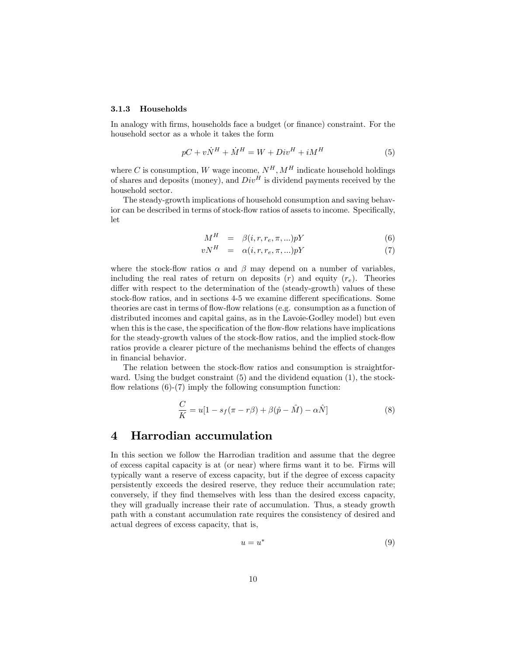#### 3.1.3 Households

In analogy with firms, households face a budget (or finance) constraint. For the household sector as a whole it takes the form

$$
pC + v\dot{N}^H + \dot{M}^H = W + Div^H + iM^H \tag{5}
$$

where  $C$  is consumption,  $W$  wage income,  $N^H, M^H$  indicate household holdings of shares and deposits (money), and  $Div<sup>H</sup>$  is dividend payments received by the household sector.

The steady-growth implications of household consumption and saving behavior can be described in terms of stock-flow ratios of assets to income. Specifically, let

$$
M^H = \beta(i, r, r_e, \pi, \ldots)pY \tag{6}
$$

$$
vN^H = \alpha(i, r, r_e, \pi, \ldots)pY \tag{7}
$$

where the stock-flow ratios  $\alpha$  and  $\beta$  may depend on a number of variables, including the real rates of return on deposits  $(r)$  and equity  $(r_e)$ . Theories differ with respect to the determination of the (steady-growth) values of these stock-flow ratios, and in sections 4-5 we examine different specifications. Some theories are cast in terms of flow-flow relations (e.g. consumption as a function of distributed incomes and capital gains, as in the Lavoie-Godley model) but even when this is the case, the specification of the flow-flow relations have implications for the steady-growth values of the stock-flow ratios, and the implied stock-flow ratios provide a clearer picture of the mechanisms behind the effects of changes in financial behavior.

The relation between the stock-flow ratios and consumption is straightforward. Using the budget constraint (5) and the dividend equation (1), the stockflow relations  $(6)-(7)$  imply the following consumption function:

$$
\frac{C}{K} = u[1 - s_f(\pi - r\beta) + \beta(\hat{p} - \hat{M}) - \alpha \hat{N}]
$$
\n(8)

#### 4 Harrodian accumulation

In this section we follow the Harrodian tradition and assume that the degree of excess capital capacity is at (or near) where Örms want it to be. Firms will typically want a reserve of excess capacity, but if the degree of excess capacity persistently exceeds the desired reserve, they reduce their accumulation rate; conversely, if they find themselves with less than the desired excess capacity, they will gradually increase their rate of accumulation. Thus, a steady growth path with a constant accumulation rate requires the consistency of desired and actual degrees of excess capacity, that is,

$$
u = u^* \tag{9}
$$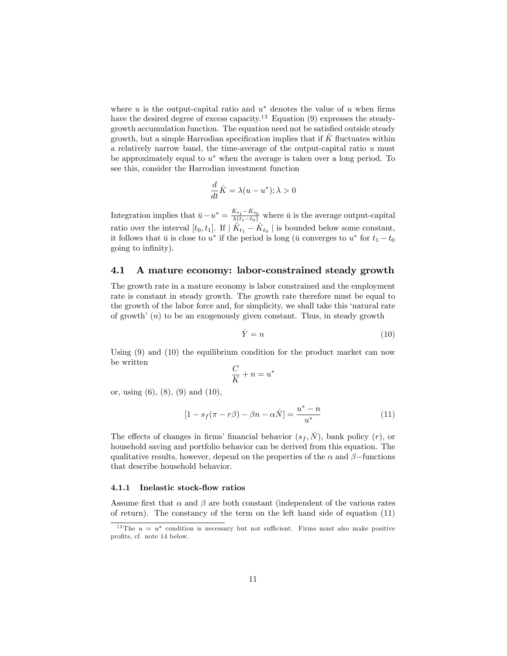where  $u$  is the output-capital ratio and  $u^*$  denotes the value of  $u$  when firms have the desired degree of excess capacity.<sup>13</sup> Equation  $(9)$  expresses the steadygrowth accumulation function. The equation need not be satisfied outside steady growth, but a simple Harrodian specification implies that if  $K$  fluctuates within a relatively narrow band, the time-average of the output-capital ratio u must be approximately equal to  $u^*$  when the average is taken over a long period. To see this, consider the Harrodian investment function

$$
\frac{d}{dt}\hat{K} = \lambda(u - u^*); \lambda > 0
$$

Integration implies that  $\bar{u} - u^* = \frac{\hat{K}_{t_1} - \hat{K}_{t_0}}{\lambda(t_1 - t_0)}$  where  $\bar{u}$  is the average output-capital ratio over the interval  $[t_0, t_1]$ . If  $|\hat{K}_{t_1} - \hat{K}_{t_0}|$  is bounded below some constant, it follows that  $\bar{u}$  is close to  $u^*$  if the period is long ( $\bar{u}$  converges to  $u^*$  for  $t_1 - t_0$ going to infinity).

#### 4.1 A mature economy: labor-constrained steady growth

The growth rate in a mature economy is labor constrained and the employment rate is constant in steady growth. The growth rate therefore must be equal to the growth of the labor force and, for simplicity, we shall take this ënatural rate of growth'  $(n)$  to be an exogenously given constant. Thus, in steady growth

$$
\hat{Y} = n \tag{10}
$$

Using (9) and (10) the equilibrium condition for the product market can now be written

$$
\frac{C}{K} + n = u^*
$$

or, using (6), (8), (9) and (10),

$$
[1 - s_f(\pi - r\beta) - \beta n - \alpha \hat{N}] = \frac{u^* - n}{u^*}
$$
\n(11)

The effects of changes in firms' financial behavior  $(s_f, \hat{N})$ , bank policy (r), or household saving and portfolio behavior can be derived from this equation. The qualitative results, however, depend on the properties of the  $\alpha$  and  $\beta$ -functions that describe household behavior.

#### 4.1.1 Inelastic stock-flow ratios

Assume first that  $\alpha$  and  $\beta$  are both constant (independent of the various rates of return). The constancy of the term on the left hand side of equation (11)

<sup>&</sup>lt;sup>13</sup>The  $u = u^*$  condition is necessary but not sufficient. Firms must also make positive profits, cf. note 14 below.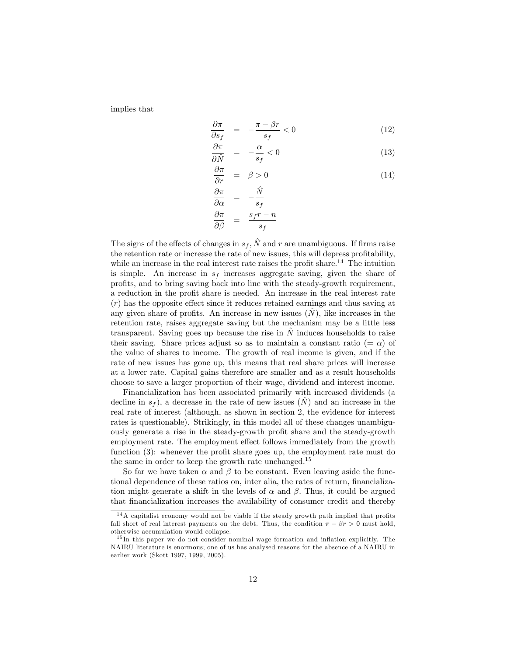implies that

$$
\frac{\partial \pi}{\partial s_f} = -\frac{\pi - \beta r}{s_f} < 0 \tag{12}
$$

$$
\frac{\partial \pi}{\partial \hat{N}} = -\frac{\alpha}{s_f} < 0 \tag{13}
$$

$$
\frac{\partial \pi}{\partial r} = \beta > 0 \tag{14}
$$

$$
\frac{\partial \pi}{\partial \alpha} = -\frac{\hat{N}}{s_f}
$$

$$
\frac{\partial \pi}{\partial \beta} = \frac{s_f r - n}{s_f}
$$

The signs of the effects of changes in  $s_f$ ,  $\hat{N}$  and r are unambiguous. If firms raise the retention rate or increase the rate of new issues, this will depress profitability, while an increase in the real interest rate raises the profit share.<sup>14</sup> The intuition is simple. An increase in  $s_f$  increases aggregate saving, given the share of profits, and to bring saving back into line with the steady-growth requirement, a reduction in the profit share is needed. An increase in the real interest rate  $(r)$  has the opposite effect since it reduces retained earnings and thus saving at any given share of profits. An increase in new issues  $(N)$ , like increases in the retention rate, raises aggregate saving but the mechanism may be a little less transparent. Saving goes up because the rise in  $\hat{N}$  induces households to raise their saving. Share prices adjust so as to maintain a constant ratio  $(=\alpha)$  of the value of shares to income. The growth of real income is given, and if the rate of new issues has gone up, this means that real share prices will increase at a lower rate. Capital gains therefore are smaller and as a result households choose to save a larger proportion of their wage, dividend and interest income.

Financialization has been associated primarily with increased dividends (a decline in  $s_f$ ), a decrease in the rate of new issues  $(N)$  and an increase in the real rate of interest (although, as shown in section 2, the evidence for interest rates is questionable). Strikingly, in this model all of these changes unambiguously generate a rise in the steady-growth profit share and the steady-growth employment rate. The employment effect follows immediately from the growth function  $(3)$ : whenever the profit share goes up, the employment rate must do the same in order to keep the growth rate unchanged.<sup>15</sup>

So far we have taken  $\alpha$  and  $\beta$  to be constant. Even leaving aside the functional dependence of these ratios on, inter alia, the rates of return, financialization might generate a shift in the levels of  $\alpha$  and  $\beta$ . Thus, it could be argued that financialization increases the availability of consumer credit and thereby

 $14$ A capitalist economy would not be viable if the steady growth path implied that profits fall short of real interest payments on the debt. Thus, the condition  $\pi - \beta r > 0$  must hold, otherwise accumulation would collapse.

<sup>&</sup>lt;sup>15</sup>In this paper we do not consider nominal wage formation and inflation explicitly. The NAIRU literature is enormous; one of us has analysed reasons for the absence of a NAIRU in earlier work (Skott 1997, 1999, 2005).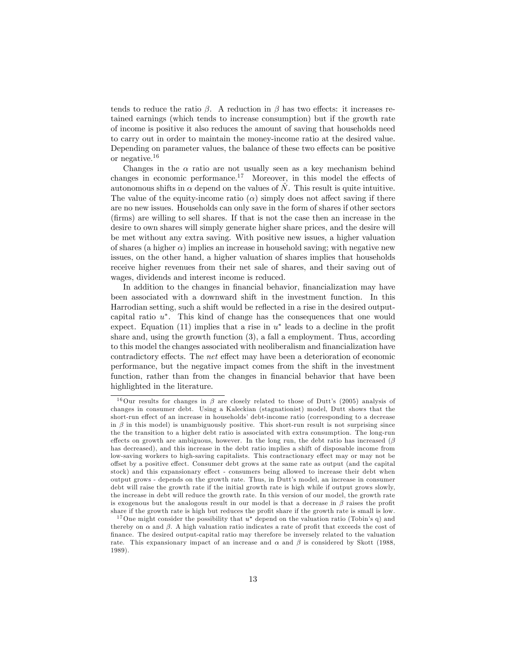tends to reduce the ratio  $\beta$ . A reduction in  $\beta$  has two effects: it increases retained earnings (which tends to increase consumption) but if the growth rate of income is positive it also reduces the amount of saving that households need to carry out in order to maintain the money-income ratio at the desired value. Depending on parameter values, the balance of these two effects can be positive or negative.<sup>16</sup>

Changes in the  $\alpha$  ratio are not usually seen as a key mechanism behind changes in economic performance.<sup>17</sup> Moreover, in this model the effects of autonomous shifts in  $\alpha$  depend on the values of  $\hat{N}$ . This result is quite intuitive. The value of the equity-income ratio  $(\alpha)$  simply does not affect saving if there are no new issues. Households can only save in the form of shares if other sectors (Örms) are willing to sell shares. If that is not the case then an increase in the desire to own shares will simply generate higher share prices, and the desire will be met without any extra saving. With positive new issues, a higher valuation of shares (a higher  $\alpha$ ) implies an increase in household saving; with negative new issues, on the other hand, a higher valuation of shares implies that households receive higher revenues from their net sale of shares, and their saving out of wages, dividends and interest income is reduced.

In addition to the changes in financial behavior, financialization may have been associated with a downward shift in the investment function. In this Harrodian setting, such a shift would be reflected in a rise in the desired outputcapital ratio  $u^*$ . This kind of change has the consequences that one would expect. Equation (11) implies that a rise in  $u^*$  leads to a decline in the profit share and, using the growth function (3), a fall a employment. Thus, according to this model the changes associated with neoliberalism and financialization have contradictory effects. The net effect may have been a deterioration of economic performance, but the negative impact comes from the shift in the investment function, rather than from the changes in financial behavior that have been highlighted in the literature.

<sup>&</sup>lt;sup>16</sup>Our results for changes in  $\beta$  are closely related to those of Dutt's (2005) analysis of changes in consumer debt. Using a Kaleckian (stagnationist) model, Dutt shows that the short-run effect of an increase in households' debt-income ratio (corresponding to a decrease in  $\beta$  in this model) is unambiguously positive. This short-run result is not surprising since the the transition to a higher debt ratio is associated with extra consumption. The long-run effects on growth are ambiguous, however. In the long run, the debt ratio has increased  $(\beta$ has decreased), and this increase in the debt ratio implies a shift of disposable income from low-saving workers to high-saving capitalists. This contractionary effect may or may not be offset by a positive effect. Consumer debt grows at the same rate as output (and the capital stock) and this expansionary effect - consumers being allowed to increase their debt when output grows - depends on the growth rate. Thus, in Duttís model, an increase in consumer debt will raise the growth rate if the initial growth rate is high while if output grows slowly, the increase in debt will reduce the growth rate. In this version of our model, the growth rate is exogenous but the analogous result in our model is that a decrease in  $\beta$  raises the profit share if the growth rate is high but reduces the profit share if the growth rate is small is low.

<sup>&</sup>lt;sup>17</sup> One might consider the possibility that  $u^*$  depend on the valuation ratio (Tobin's q) and thereby on  $\alpha$  and  $\beta$ . A high valuation ratio indicates a rate of profit that exceeds the cost of Önance. The desired output-capital ratio may therefore be inversely related to the valuation rate. This expansionary impact of an increase and  $\alpha$  and  $\beta$  is considered by Skott (1988, 1989).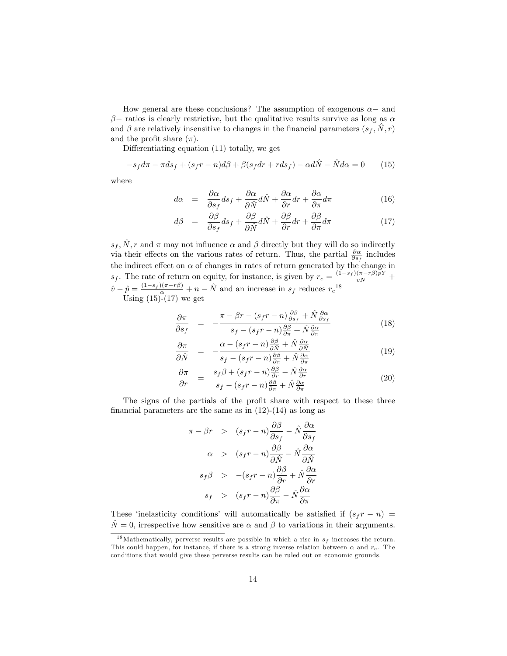How general are these conclusions? The assumption of exogenous  $\alpha$  and  $\beta$  - ratios is clearly restrictive, but the qualitative results survive as long as  $\alpha$ and  $\beta$  are relatively insensitive to changes in the financial parameters  $(s_f, N, r)$ and the profit share  $(\pi)$ .

Differentiating equation  $(11)$  totally, we get

$$
-s_f d\pi - \pi ds_f + (s_f r - n) d\beta + \beta (s_f dr + r ds_f) - \alpha d\hat{N} - \hat{N} d\alpha = 0 \tag{15}
$$

where

$$
d\alpha = \frac{\partial \alpha}{\partial s_f} ds_f + \frac{\partial \alpha}{\partial \hat{N}} d\hat{N} + \frac{\partial \alpha}{\partial r} dr + \frac{\partial \alpha}{\partial \pi} d\pi \tag{16}
$$

$$
d\beta = \frac{\partial \beta}{\partial s_f} ds_f + \frac{\partial \beta}{\partial \hat{N}} d\hat{N} + \frac{\partial \beta}{\partial r} dr + \frac{\partial \beta}{\partial \pi} d\pi \tag{17}
$$

 $s_f, \hat{N}, r$  and  $\pi$  may not influence  $\alpha$  and  $\beta$  directly but they will do so indirectly via their effects on the various rates of return. Thus, the partial  $\frac{\partial \alpha}{\partial s_f}$  includes the indirect effect on  $\alpha$  of changes in rates of return generated by the change in  $s_f$ . The rate of return on equity, for instance, is given by  $r_e = \frac{(1-s_f)(\pi - r\beta)pY}{vN} +$  $\hat{v} - \hat{p} = \frac{(1-s_f)(\pi - r\beta)}{\alpha} + n - \hat{N}$  and an increase in  $s_f$  reduces  $r_e^{18}$ Using  $(15)-(17)$  we get

$$
\frac{\partial \pi}{\partial s_f} = -\frac{\pi - \beta r - (s_f r - n) \frac{\partial \beta}{\partial s_f} + \hat{N} \frac{\partial \alpha}{\partial s_f}}{s_f - (s_f r - n) \frac{\partial \beta}{\partial \pi} + \hat{N} \frac{\partial \alpha}{\partial \pi}}
$$
(18)

$$
\frac{\partial \pi}{\partial \hat{N}} = -\frac{\alpha - (s_f r - n) \frac{\partial \beta}{\partial \hat{N}} + \hat{N} \frac{\partial \alpha}{\partial \hat{N}}}{s_f - (s_f r - n) \frac{\partial \beta}{\partial \pi} + \hat{N} \frac{\partial \alpha}{\partial \pi}}
$$
(19)

$$
\frac{\partial \pi}{\partial r} = \frac{s_f \beta + (s_f r - n) \frac{\partial \beta}{\partial r} - \hat{N} \frac{\partial \alpha}{\partial r}}{s_f - (s_f r - n) \frac{\partial \beta}{\partial \pi} + \hat{N} \frac{\partial \alpha}{\partial \pi}} \tag{20}
$$

The signs of the partials of the profit share with respect to these three financial parameters are the same as in  $(12)-(14)$  as long as

$$
\pi - \beta r \quad > \quad (s_f r - n) \frac{\partial \beta}{\partial s_f} - \hat{N} \frac{\partial \alpha}{\partial s_f}
$$
\n
$$
\alpha \quad > \quad (s_f r - n) \frac{\partial \beta}{\partial \hat{N}} - \hat{N} \frac{\partial \alpha}{\partial \hat{N}}
$$
\n
$$
s_f \beta \quad > \quad -(s_f r - n) \frac{\partial \beta}{\partial r} + \hat{N} \frac{\partial \alpha}{\partial r}
$$
\n
$$
s_f \quad > \quad (s_f r - n) \frac{\partial \beta}{\partial \pi} - \hat{N} \frac{\partial \alpha}{\partial \pi}
$$

These 'inelasticity conditions' will automatically be satisfied if  $(s_f r - n)$  $\hat{N} = 0$ , irrespective how sensitive are  $\alpha$  and  $\beta$  to variations in their arguments.

<sup>&</sup>lt;sup>18</sup>Mathematically, perverse results are possible in which a rise in  $s_f$  increases the return. This could happen, for instance, if there is a strong inverse relation between  $\alpha$  and  $r_e$ . The conditions that would give these perverse results can be ruled out on economic grounds.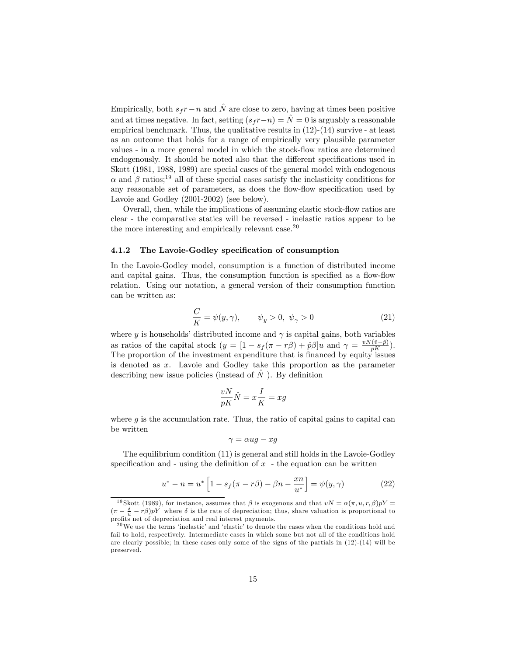Empirically, both  $s_f r - n$  and  $\hat{N}$  are close to zero, having at times been positive and at times negative. In fact, setting  $(s_f r-n) = \hat{N} = 0$  is arguably a reasonable empirical benchmark. Thus, the qualitative results in  $(12)-(14)$  survive - at least as an outcome that holds for a range of empirically very plausible parameter values - in a more general model in which the stock-flow ratios are determined endogenously. It should be noted also that the different specifications used in Skott (1981, 1988, 1989) are special cases of the general model with endogenous  $\alpha$  and  $\beta$  ratios;<sup>19</sup> all of these special cases satisfy the inelasticity conditions for any reasonable set of parameters, as does the flow-flow specification used by Lavoie and Godley (2001-2002) (see below).

Overall, then, while the implications of assuming elastic stock-flow ratios are clear - the comparative statics will be reversed - inelastic ratios appear to be the more interesting and empirically relevant case. $20$ 

#### 4.1.2 The Lavoie-Godley specification of consumption

In the Lavoie-Godley model, consumption is a function of distributed income and capital gains. Thus, the consumption function is specified as a flow-flow relation. Using our notation, a general version of their consumption function can be written as:

$$
\frac{C}{K} = \psi(y, \gamma), \qquad \psi_y > 0, \ \psi_\gamma > 0 \tag{21}
$$

where y is households' distributed income and  $\gamma$  is capital gains, both variables as ratios of the capital stock  $(y = \left[1 - s_f(\pi - r\beta) + \hat{p}\beta\right]u$  and  $\gamma = \frac{vN(\hat{v}-\hat{p})}{pK}$ . The proportion of the investment expenditure that is financed by equity issues is denoted as x. Lavoie and Godley take this proportion as the parameter describing new issue policies (instead of  $\tilde{N}$ ). By definition

$$
\frac{vN}{pK}\hat{N}=x\frac{I}{K}=xg
$$

where  $g$  is the accumulation rate. Thus, the ratio of capital gains to capital can be written

$$
\gamma = \alpha u g - x g
$$

The equilibrium condition (11) is general and still holds in the Lavoie-Godley specification and - using the definition of  $x$  - the equation can be written

$$
u^* - n = u^* \left[ 1 - s_f(\pi - r\beta) - \beta n - \frac{xn}{u^*} \right] = \psi(y, \gamma)
$$
 (22)

<sup>&</sup>lt;sup>19</sup> Skott (1989), for instance, assumes that  $\beta$  is exogenous and that  $vN = \alpha(\pi, u, r, \beta)pY =$  $(\pi - \frac{\delta}{u} - r\beta)pY$  where  $\delta$  is the rate of depreciation; thus, share valuation is proportional to profits net of depreciation and real interest payments.

 $^{20}$ We use the terms 'inelastic' and 'elastic' to denote the cases when the conditions hold and fail to hold, respectively. Intermediate cases in which some but not all of the conditions hold are clearly possible; in these cases only some of the signs of the partials in (12)-(14) will be preserved.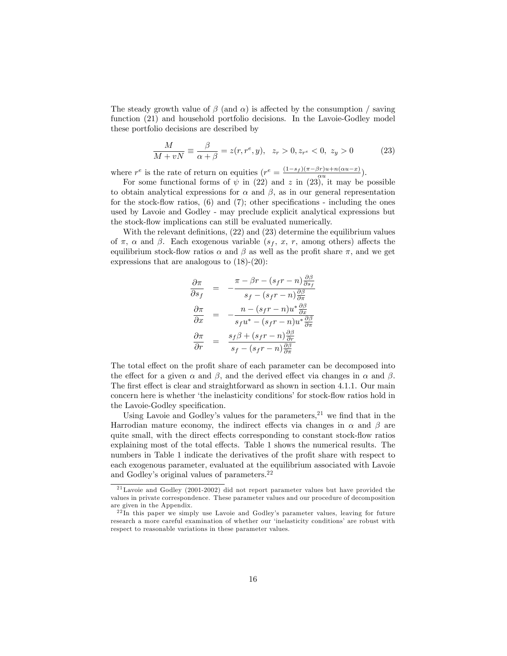The steady growth value of  $\beta$  (and  $\alpha$ ) is affected by the consumption / saving function  $(21)$  and household portfolio decisions. In the Lavoie-Godley model these portfolio decisions are described by

$$
\frac{M}{M+vN} \equiv \frac{\beta}{\alpha+\beta} = z(r, r^e, y), \ \ z_r > 0, z_{r^e} < 0, \ z_y > 0 \tag{23}
$$

where  $r^e$  is the rate of return on equities  $(r^e = \frac{(1-s_f)(\pi-\beta r)u+n(\alpha u-x)}{\alpha u}).$ 

For some functional forms of  $\psi$  in (22) and z in (23), it may be possible to obtain analytical expressions for  $\alpha$  and  $\beta$ , as in our general representation for the stock-flow ratios,  $(6)$  and  $(7)$ ; other specifications - including the ones used by Lavoie and Godley - may preclude explicit analytical expressions but the stock-flow implications can still be evaluated numerically.

With the relevant definitions,  $(22)$  and  $(23)$  determine the equilibrium values of  $\pi$ ,  $\alpha$  and  $\beta$ . Each exogenous variable  $(s_f, x, r, \text{ among others})$  affects the equilibrium stock-flow ratios  $\alpha$  and  $\beta$  as well as the profit share  $\pi$ , and we get expressions that are analogous to (18)-(20):

$$
\frac{\partial \pi}{\partial s_f} = -\frac{\pi - \beta r - (s_f r - n) \frac{\partial \beta}{\partial s_f}}{s_f - (s_f r - n) \frac{\partial \beta}{\partial \pi}}
$$

$$
\frac{\partial \pi}{\partial x} = -\frac{n - (s_f r - n) u^* \frac{\partial \beta}{\partial x}}{s_f u^* - (s_f r - n) u^* \frac{\partial \beta}{\partial \pi}}
$$

$$
\frac{\partial \pi}{\partial r} = \frac{s_f \beta + (s_f r - n) \frac{\partial \beta}{\partial \pi}}{s_f - (s_f r - n) \frac{\partial \beta}{\partial \pi}}
$$

The total effect on the profit share of each parameter can be decomposed into the effect for a given  $\alpha$  and  $\beta$ , and the derived effect via changes in  $\alpha$  and  $\beta$ . The first effect is clear and straightforward as shown in section 4.1.1. Our main concern here is whether 'the inelasticity conditions' for stock-flow ratios hold in the Lavoie-Godley specification.

Using Lavoie and Godley's values for the parameters,  $2<sup>1</sup>$  we find that in the Harrodian mature economy, the indirect effects via changes in  $\alpha$  and  $\beta$  are quite small, with the direct effects corresponding to constant stock-flow ratios explaining most of the total effects. Table 1 shows the numerical results. The numbers in Table 1 indicate the derivatives of the profit share with respect to each exogenous parameter, evaluated at the equilibrium associated with Lavoie and Godley's original values of parameters.<sup>22</sup>

<sup>2 1</sup>Lavoie and Godley (2001-2002) did not report parameter values but have provided the values in private correspondence. These parameter values and our procedure of decomposition are given in the Appendix.

 $22$ In this paper we simply use Lavoie and Godley's parameter values, leaving for future research a more careful examination of whether our ëinelasticity conditionsí are robust with respect to reasonable variations in these parameter values.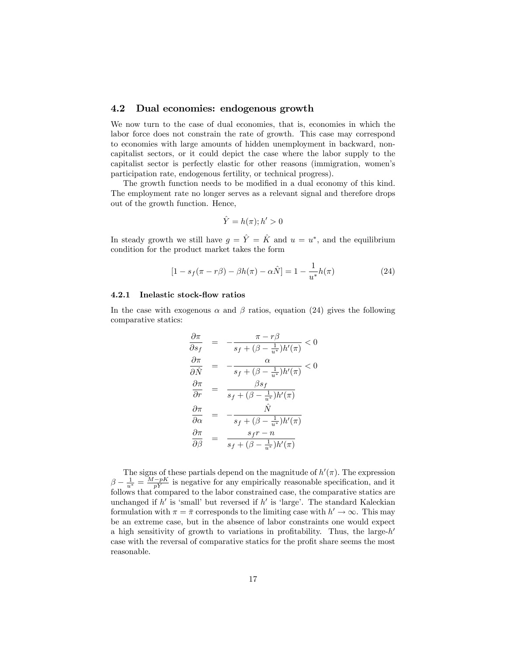#### 4.2 Dual economies: endogenous growth

We now turn to the case of dual economies, that is, economies in which the labor force does not constrain the rate of growth. This case may correspond to economies with large amounts of hidden unemployment in backward, noncapitalist sectors, or it could depict the case where the labor supply to the capitalist sector is perfectly elastic for other reasons (immigration, womenís participation rate, endogenous fertility, or technical progress).

The growth function needs to be modified in a dual economy of this kind. The employment rate no longer serves as a relevant signal and therefore drops out of the growth function. Hence,

$$
\hat{Y} = h(\pi); h' > 0
$$

In steady growth we still have  $g = \hat{Y} = \hat{K}$  and  $u = u^*$ , and the equilibrium condition for the product market takes the form

$$
[1 - s_f(\pi - r\beta) - \beta h(\pi) - \alpha \hat{N}] = 1 - \frac{1}{u^*}h(\pi)
$$
 (24)

#### 4.2.1 Inelastic stock-flow ratios

In the case with exogenous  $\alpha$  and  $\beta$  ratios, equation (24) gives the following comparative statics:

$$
\frac{\partial \pi}{\partial s_f} = -\frac{\pi - r\beta}{s_f + (\beta - \frac{1}{u^*})h'(\pi)} < 0
$$

$$
\frac{\partial \pi}{\partial \hat{N}} = -\frac{\alpha}{s_f + (\beta - \frac{1}{u^*})h'(\pi)} < 0
$$

$$
\frac{\partial \pi}{\partial r} = \frac{\beta s_f}{s_f + (\beta - \frac{1}{u^*})h'(\pi)}
$$

$$
\frac{\partial \pi}{\partial \alpha} = -\frac{\hat{N}}{s_f + (\beta - \frac{1}{u^*})h'(\pi)}
$$

$$
\frac{\partial \pi}{\partial \beta} = \frac{s_f r - n}{s_f + (\beta - \frac{1}{u^*})h'(\pi)}
$$

The signs of these partials depend on the magnitude of  $h'(\pi)$ . The expression  $\beta - \frac{1}{u^*} = \frac{M - pK}{pY}$  is negative for any empirically reasonable specification, and it follows that compared to the labor constrained case, the comparative statics are unchanged if  $h'$  is 'small' but reversed if  $h'$  is 'large'. The standard Kaleckian formulation with  $\pi = \bar{\pi}$  corresponds to the limiting case with  $h' \to \infty$ . This may be an extreme case, but in the absence of labor constraints one would expect a high sensitivity of growth to variations in profitability. Thus, the large- $h'$ case with the reversal of comparative statics for the profit share seems the most reasonable.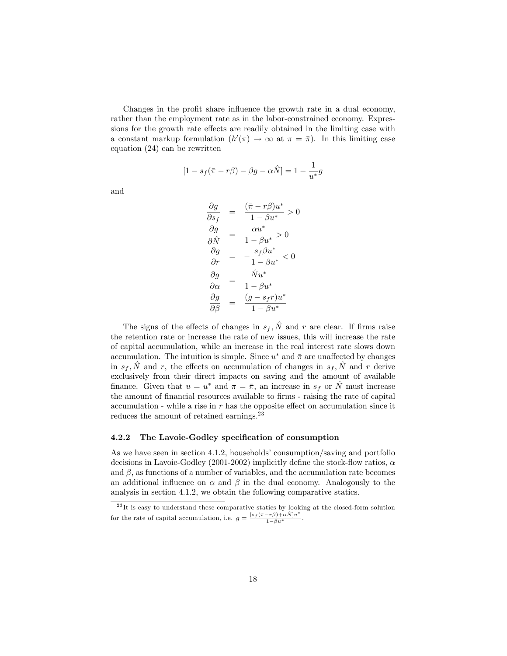Changes in the profit share influence the growth rate in a dual economy, rather than the employment rate as in the labor-constrained economy. Expressions for the growth rate effects are readily obtained in the limiting case with a constant markup formulation  $(h'(\pi) \to \infty$  at  $\pi = \bar{\pi})$ . In this limiting case equation (24) can be rewritten

$$
[1 - s_f(\bar{\pi} - r\beta) - \beta g - \alpha \hat{N}] = 1 - \frac{1}{u^*}g
$$

and

$$
\frac{\partial g}{\partial s_f} = \frac{(\bar{\pi} - r\beta)u^*}{1 - \beta u^*} > 0
$$

$$
\frac{\partial g}{\partial \hat{N}} = \frac{\alpha u^*}{1 - \beta u^*} > 0
$$

$$
\frac{\partial g}{\partial r} = -\frac{s_f \beta u^*}{1 - \beta u^*} < 0
$$

$$
\frac{\partial g}{\partial \alpha} = \frac{\hat{N}u^*}{1 - \beta u^*}
$$

$$
\frac{\partial g}{\partial \beta} = \frac{(g - s_f r)u^*}{1 - \beta u^*}
$$

The signs of the effects of changes in  $s_f$ ,  $\hat{N}$  and r are clear. If firms raise the retention rate or increase the rate of new issues, this will increase the rate of capital accumulation, while an increase in the real interest rate slows down accumulation. The intuition is simple. Since  $u^*$  and  $\bar{\pi}$  are unaffected by changes in  $s_f$ ,  $\hat{N}$  and r, the effects on accumulation of changes in  $s_f$ ,  $\hat{N}$  and r derive exclusively from their direct impacts on saving and the amount of available finance. Given that  $u = u^*$  and  $\pi = \bar{\pi}$ , an increase in  $s_f$  or  $\hat{N}$  must increase the amount of financial resources available to firms - raising the rate of capital accumulation - while a rise in  $r$  has the opposite effect on accumulation since it reduces the amount of retained earnings.<sup>23</sup>

#### 4.2.2 The Lavoie-Godley specification of consumption

As we have seen in section  $4.1.2$ , households' consumption/saving and portfolio decisions in Lavoie-Godley (2001-2002) implicitly define the stock-flow ratios,  $\alpha$ and  $\beta$ , as functions of a number of variables, and the accumulation rate becomes an additional influence on  $\alpha$  and  $\beta$  in the dual economy. Analogously to the analysis in section 4.1.2, we obtain the following comparative statics.

 $^{23}$ It is easy to understand these comparative statics by looking at the closed-form solution for the rate of capital accumulation, i.e.  $g = \frac{[s_f(\bar{\pi} - r\beta) + \alpha \hat{N}]u^*}{1 - \beta u^*}$ .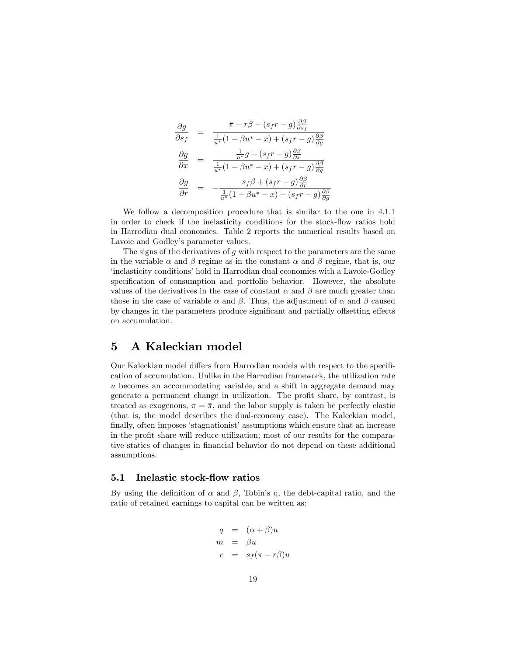$$
\begin{array}{rcl}\n\frac{\partial g}{\partial s_f} &=& \frac{\bar{\pi} - r\beta - (s_f r - g)\frac{\partial \beta}{\partial s_f}}{\frac{1}{u^*}(1 - \beta u^* - x) + (s_f r - g)\frac{\partial \beta}{\partial g}} \\
\frac{\partial g}{\partial x} &=& \frac{\frac{1}{u^*}g - (s_f r - g)\frac{\partial \beta}{\partial x}}{\frac{1}{u^*}(1 - \beta u^* - x) + (s_f r - g)\frac{\partial \beta}{\partial g}} \\
\frac{\partial g}{\partial r} &=& -\frac{s_f \beta + (s_f r - g)\frac{\partial \beta}{\partial r}}{\frac{1}{u^*}(1 - \beta u^* - x) + (s_f r - g)\frac{\partial \beta}{\partial g}}\n\end{array}
$$

We follow a decomposition procedure that is similar to the one in 4.1.1 in order to check if the inelasticity conditions for the stock-flow ratios hold in Harrodian dual economies. Table 2 reports the numerical results based on Lavoie and Godley's parameter values.

The signs of the derivatives of q with respect to the parameters are the same in the variable  $\alpha$  and  $\beta$  regime as in the constant  $\alpha$  and  $\beta$  regime, that is, our ëinelasticity conditionsíhold in Harrodian dual economies with a Lavoie-Godley specification of consumption and portfolio behavior. However, the absolute values of the derivatives in the case of constant  $\alpha$  and  $\beta$  are much greater than those in the case of variable  $\alpha$  and  $\beta$ . Thus, the adjustment of  $\alpha$  and  $\beta$  caused by changes in the parameters produce significant and partially offsetting effects on accumulation.

## 5 A Kaleckian model

Our Kaleckian model differs from Harrodian models with respect to the specification of accumulation. Unlike in the Harrodian framework, the utilization rate u becomes an accommodating variable, and a shift in aggregate demand may generate a permanent change in utilization. The profit share, by contrast, is treated as exogenous,  $\pi = \bar{\pi}$ , and the labor supply is taken be perfectly elastic (that is, the model describes the dual-economy case). The Kaleckian model, finally, often imposes 'stagnationist' assumptions which ensure that an increase in the profit share will reduce utilization; most of our results for the comparative statics of changes in financial behavior do not depend on these additional assumptions.

#### 5.1 Inelastic stock-flow ratios

By using the definition of  $\alpha$  and  $\beta$ , Tobin's q, the debt-capital ratio, and the ratio of retained earnings to capital can be written as:

$$
q = (\alpha + \beta)u
$$
  
\n
$$
m = \beta u
$$
  
\n
$$
c = s_f(\pi - r\beta)u
$$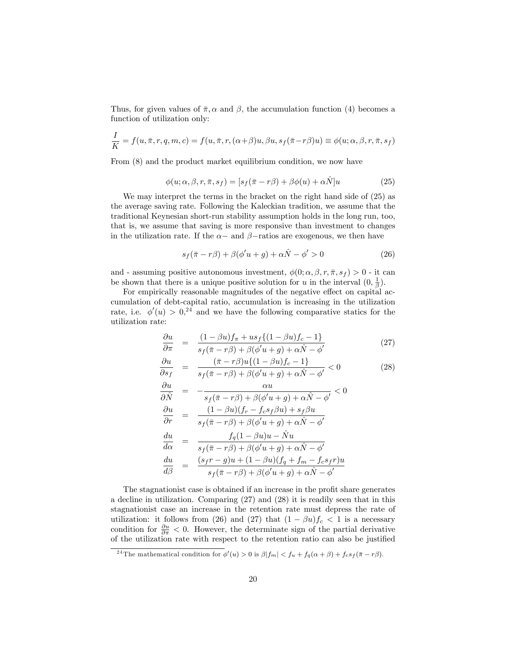Thus, for given values of  $\bar{\pi}, \alpha$  and  $\beta$ , the accumulation function (4) becomes a function of utilization only:

$$
\frac{I}{K} = f(u, \bar{\pi}, r, q, m, c) = f(u, \bar{\pi}, r, (\alpha + \beta)u, \beta u, s_f(\bar{\pi} - r\beta)u) \equiv \phi(u; \alpha, \beta, r, \bar{\pi}, s_f)
$$

From (8) and the product market equilibrium condition, we now have

$$
\phi(u; \alpha, \beta, r, \bar{\pi}, s_f) = [s_f(\bar{\pi} - r\beta) + \beta\phi(u) + \alpha \hat{N}]u \qquad (25)
$$

We may interpret the terms in the bracket on the right hand side of (25) as the average saving rate. Following the Kaleckian tradition, we assume that the traditional Keynesian short-run stability assumption holds in the long run, too, that is, we assume that saving is more responsive than investment to changes in the utilization rate. If the  $\alpha$  – and  $\beta$  –ratios are exogenous, we then have

$$
s_f(\bar{\pi} - r\beta) + \beta(\phi'u + g) + \alpha \hat{N} - \phi' > 0
$$
\n(26)

and - assuming positive autonomous investment,  $\phi(0; \alpha, \beta, r, \bar{\pi}, s_f) > 0$  - it can be shown that there is a unique positive solution for u in the interval  $(0, \frac{1}{\beta})$ .

For empirically reasonable magnitudes of the negative effect on capital accumulation of debt-capital ratio, accumulation is increasing in the utilization rate, i.e.  $\phi'(u) > 0$ <sup>24</sup> and we have the following comparative statics for the utilization rate:

$$
\frac{\partial u}{\partial \pi} = \frac{(1 - \beta u)f_{\pi} + us_f\{(1 - \beta u)f_c - 1\}}{s_f(\bar{\pi} - r\beta) + \beta(\phi'u + g) + \alpha \hat{N} - \phi'}
$$
(27)

$$
\frac{\partial u}{\partial s_f} = \frac{(\bar{\pi} - r\beta)u\{(1 - \beta u)f_c - 1\}}{s_f(\bar{\pi} - r\beta) + \beta(\phi'u + g) + \alpha \hat{N} - \phi'} < 0
$$
\n(28)

$$
\frac{\partial u}{\partial \hat{N}} = -\frac{\alpha u}{s_f(\bar{\pi} - r\beta) + \beta(\phi' u + g) + \alpha \hat{N} - \phi'} < 0
$$
  

$$
\frac{\partial u}{\partial r} = \frac{(1 - \beta u)(f_r - f_c s_f \beta u) + s_f \beta u}{s_f(\bar{\pi} - r\beta) + \beta(\phi' u + g) + \alpha \hat{N} - \phi'}
$$
  

$$
\frac{du}{d\alpha} = \frac{f_q(1 - \beta u)u - \hat{N}u}{s_f(\bar{\pi} - r\beta) + \beta(\phi' u + g) + \alpha \hat{N} - \phi'}
$$
  

$$
\frac{du}{d\beta} = \frac{(s_f r - g)u + (1 - \beta u)(f_q + f_m - f_c s_f r)u}{s_f(\bar{\pi} - r\beta) + \beta(\phi' u + g) + \alpha \hat{N} - \phi'}
$$

The stagnationist case is obtained if an increase in the profit share generates a decline in utilization. Comparing (27) and (28) it is readily seen that in this stagnationist case an increase in the retention rate must depress the rate of utilization: it follows from (26) and (27) that  $(1 - \beta u)f_c < 1$  is a necessary condition for  $\frac{\partial u}{\partial \pi} < 0$ . However, the determinate sign of the partial derivative of the utilization rate with respect to the retention ratio can also be justified

<sup>&</sup>lt;sup>24</sup>The mathematical condition for  $\phi'(u) > 0$  is  $\beta |f_m| < f_u + f_q(\alpha + \beta) + f_c s_f(\bar{\pi} - r\beta)$ .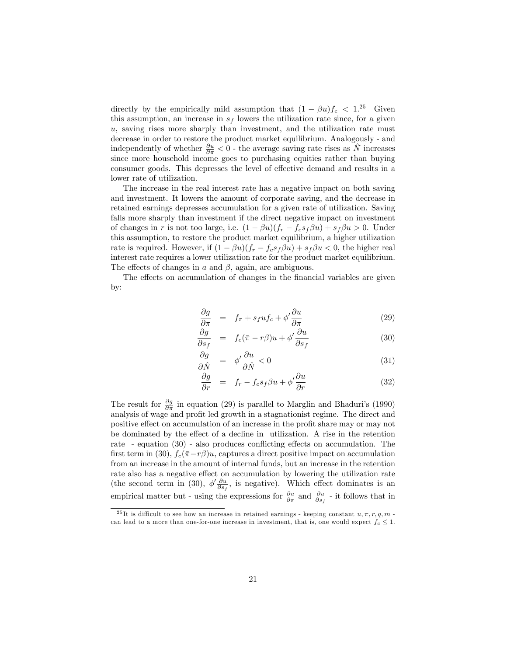directly by the empirically mild assumption that  $(1 - \beta u)f_c < 1.^{25}$  Given this assumption, an increase in  $s_f$  lowers the utilization rate since, for a given u, saving rises more sharply than investment, and the utilization rate must decrease in order to restore the product market equilibrium. Analogously - and independently of whether  $\frac{\partial u}{\partial \pi} < 0$  - the average saving rate rises as  $\hat{N}$  increases since more household income goes to purchasing equities rather than buying consumer goods. This depresses the level of effective demand and results in a lower rate of utilization.

The increase in the real interest rate has a negative impact on both saving and investment. It lowers the amount of corporate saving, and the decrease in retained earnings depresses accumulation for a given rate of utilization. Saving falls more sharply than investment if the direct negative impact on investment of changes in r is not too large, i.e.  $(1 - \beta u)(f_r - f_c s_f \beta u) + s_f \beta u > 0$ . Under this assumption, to restore the product market equilibrium, a higher utilization rate is required. However, if  $(1 - \beta u)(f_r - f_c s_f \beta u) + s_f \beta u < 0$ , the higher real interest rate requires a lower utilization rate for the product market equilibrium. The effects of changes in  $a$  and  $\beta$ , again, are ambiguous.

The effects on accumulation of changes in the financial variables are given by:

$$
\frac{\partial g}{\partial \pi} = f_{\pi} + s_f u f_c + \phi' \frac{\partial u}{\partial \pi} \tag{29}
$$

$$
\frac{\partial g}{\partial s_f} = f_c(\bar{\pi} - r\beta)u + \phi' \frac{\partial u}{\partial s_f} \tag{30}
$$

$$
\frac{\partial g}{\partial \hat{N}} = \phi' \frac{\partial u}{\partial \hat{N}} < 0 \tag{31}
$$

$$
\frac{\partial g}{\partial r} = f_r - f_c s_f \beta u + \phi' \frac{\partial u}{\partial r} \tag{32}
$$

The result for  $\frac{\partial g}{\partial \pi}$  in equation (29) is parallel to Marglin and Bhaduri's (1990) analysis of wage and profit led growth in a stagnationist regime. The direct and positive effect on accumulation of an increase in the profit share may or may not be dominated by the effect of a decline in utilization. A rise in the retention rate - equation  $(30)$  - also produces conflicting effects on accumulation. The first term in (30),  $f_c(\bar{\pi}-r\beta)u$ , captures a direct positive impact on accumulation from an increase in the amount of internal funds, but an increase in the retention rate also has a negative effect on accumulation by lowering the utilization rate (the second term in (30),  $\phi' \frac{\partial u}{\partial s_f}$ , is negative). Which effect dominates is an empirical matter but - using the expressions for  $\frac{\partial u}{\partial \pi}$  and  $\frac{\partial u}{\partial s_f}$  - it follows that in

<sup>&</sup>lt;sup>25</sup>It is difficult to see how an increase in retained earnings - keeping constant  $u, \pi, r, q, m$  can lead to a more than one-for-one increase in investment, that is, one would expect  $f_c \leq 1$ .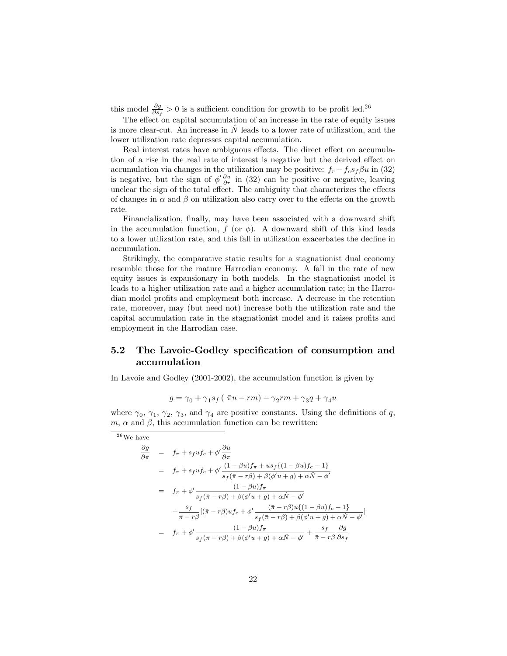this model  $\frac{\partial g}{\partial s_f} > 0$  is a sufficient condition for growth to be profit led.<sup>26</sup>

The effect on capital accumulation of an increase in the rate of equity issues is more clear-cut. An increase in  $\hat{N}$  leads to a lower rate of utilization, and the lower utilization rate depresses capital accumulation.

Real interest rates have ambiguous effects. The direct effect on accumulation of a rise in the real rate of interest is negative but the derived effect on accumulation via changes in the utilization may be positive:  $f_r - f_c s_f \beta u$  in (32) is negative, but the sign of  $\phi' \frac{\partial u}{\partial r}$  in (32) can be positive or negative, leaving unclear the sign of the total effect. The ambiguity that characterizes the effects of changes in  $\alpha$  and  $\beta$  on utilization also carry over to the effects on the growth rate.

Financialization, finally, may have been associated with a downward shift in the accumulation function,  $f$  (or  $\phi$ ). A downward shift of this kind leads to a lower utilization rate, and this fall in utilization exacerbates the decline in accumulation.

Strikingly, the comparative static results for a stagnationist dual economy resemble those for the mature Harrodian economy. A fall in the rate of new equity issues is expansionary in both models. In the stagnationist model it leads to a higher utilization rate and a higher accumulation rate; in the Harrodian model profits and employment both increase. A decrease in the retention rate, moreover, may (but need not) increase both the utilization rate and the capital accumulation rate in the stagnationist model and it raises profits and employment in the Harrodian case.

## 5.2 The Lavoie-Godley specification of consumption and accumulation

In Lavoie and Godley (2001-2002), the accumulation function is given by

$$
g = \gamma_0 + \gamma_1 s_f \left( \overline{\pi} u - r m \right) - \gamma_2 r m + \gamma_3 q + \gamma_4 u
$$

where  $\gamma_0$ ,  $\gamma_1$ ,  $\gamma_2$ ,  $\gamma_3$ , and  $\gamma_4$  are positive constants. Using the definitions of q,  $m, \alpha$  and  $\beta$ , this accumulation function can be rewritten:

 $26$  We have

$$
\frac{\partial g}{\partial \pi} = f_{\pi} + s_f u f_c + \phi' \frac{\partial u}{\partial \pi}
$$
\n
$$
= f_{\pi} + s_f u f_c + \phi' \frac{(1 - \beta u) f_{\pi} + u s_f \{(1 - \beta u) f_c - 1\}}{s_f (\bar{\pi} - r \beta) + \beta (\phi' u + g) + \alpha \hat{N} - \phi'}
$$
\n
$$
= f_{\pi} + \phi' \frac{(1 - \beta u) f_{\pi}}{s_f (\bar{\pi} - r \beta) + \beta (\phi' u + g) + \alpha \hat{N} - \phi'}
$$
\n
$$
+ \frac{s_f}{\bar{\pi} - r \beta} [(\bar{\pi} - r \beta) u f_c + \phi' \frac{(\bar{\pi} - r \beta) u \{(1 - \beta u) f_c - 1\}}{s_f (\bar{\pi} - r \beta) + \beta (\phi' u + g) + \alpha \hat{N} - \phi'}]
$$
\n
$$
= f_{\pi} + \phi' \frac{(1 - \beta u) f_{\pi}}{s_f (\bar{\pi} - r \beta) + \beta (\phi' u + g) + \alpha \hat{N} - \phi'} + \frac{s_f}{\bar{\pi} - r \beta} \frac{\partial g}{\partial s_f}
$$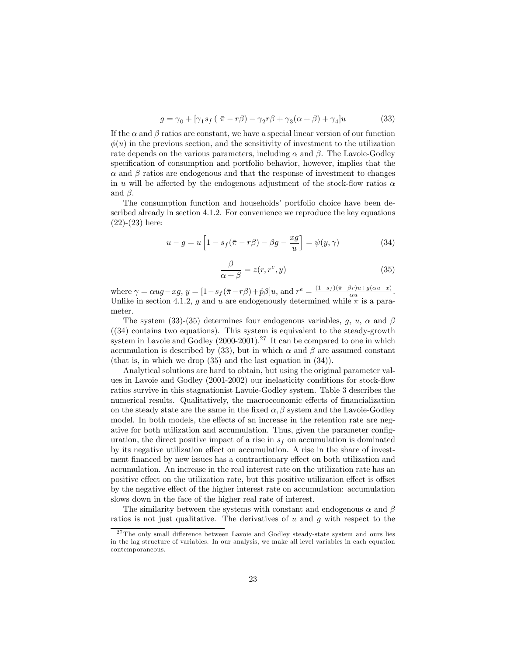$$
g = \gamma_0 + [\gamma_1 s_f (\bar{\pi} - r\beta) - \gamma_2 r\beta + \gamma_3 (\alpha + \beta) + \gamma_4] u \tag{33}
$$

If the  $\alpha$  and  $\beta$  ratios are constant, we have a special linear version of our function  $\phi(u)$  in the previous section, and the sensitivity of investment to the utilization rate depends on the various parameters, including  $\alpha$  and  $\beta$ . The Lavoie-Godley specification of consumption and portfolio behavior, however, implies that the  $\alpha$  and  $\beta$  ratios are endogenous and that the response of investment to changes in u will be affected by the endogenous adjustment of the stock-flow ratios  $\alpha$ and  $\beta$ .

The consumption function and households' portfolio choice have been described already in section 4.1.2. For convenience we reproduce the key equations (22)-(23) here:

$$
u - g = u \left[ 1 - s_f(\bar{\pi} - r\beta) - \beta g - \frac{xg}{u} \right] = \psi(y, \gamma)
$$
 (34)

$$
\frac{\beta}{\alpha+\beta} = z(r, r^e, y) \tag{35}
$$

where  $\gamma = \alpha ug - xg$ ,  $y = \left[1 - s_f(\bar{\pi} - r\beta) + \hat{p}\beta\right]u$ , and  $r^e = \frac{(1 - s_f)(\bar{\pi} - \beta r)u + g(\alpha u - x)}{\alpha u}$ . Unlike in section 4.1.2, g and u are endogenously determined while  $\pi$  is a parameter.

The system (33)-(35) determines four endogenous variables, q, u,  $\alpha$  and  $\beta$  $(34)$  contains two equations). This system is equivalent to the steady-growth system in Lavoie and Godley  $(2000-2001)$ .<sup>27</sup> It can be compared to one in which accumulation is described by (33), but in which  $\alpha$  and  $\beta$  are assumed constant (that is, in which we drop (35) and the last equation in (34)).

Analytical solutions are hard to obtain, but using the original parameter values in Lavoie and Godley  $(2001-2002)$  our inelasticity conditions for stock-flow ratios survive in this stagnationist Lavoie-Godley system. Table 3 describes the numerical results. Qualitatively, the macroeconomic effects of financialization on the steady state are the same in the fixed  $\alpha$ ,  $\beta$  system and the Lavoie-Godley model. In both models, the effects of an increase in the retention rate are negative for both utilization and accumulation. Thus, given the parameter configuration, the direct positive impact of a rise in  $s_f$  on accumulation is dominated by its negative utilization effect on accumulation. A rise in the share of investment financed by new issues has a contractionary effect on both utilization and accumulation. An increase in the real interest rate on the utilization rate has an positive effect on the utilization rate, but this positive utilization effect is offset by the negative effect of the higher interest rate on accumulation: accumulation slows down in the face of the higher real rate of interest.

The similarity between the systems with constant and endogenous  $\alpha$  and  $\beta$ ratios is not just qualitative. The derivatives of  $u$  and  $g$  with respect to the

 $27$  The only small difference between Lavoie and Godley steady-state system and ours lies in the lag structure of variables. In our analysis, we make all level variables in each equation contemporaneous.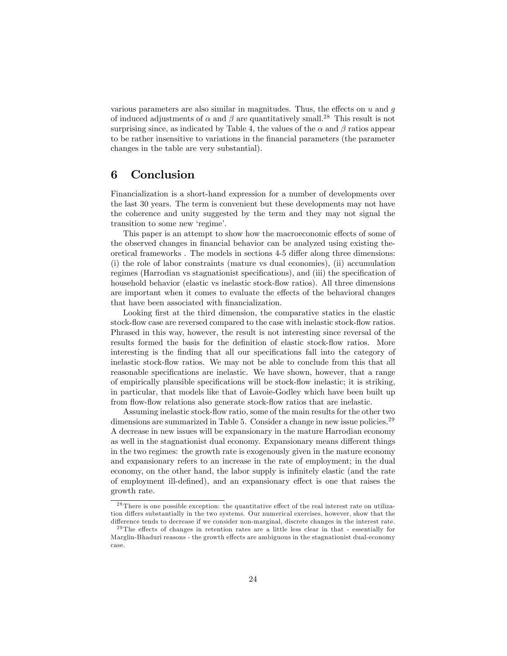various parameters are also similar in magnitudes. Thus, the effects on  $u$  and  $g$ of induced adjustments of  $\alpha$  and  $\beta$  are quantitatively small.<sup>28</sup> This result is not surprising since, as indicated by Table 4, the values of the  $\alpha$  and  $\beta$  ratios appear to be rather insensitive to variations in the Önancial parameters (the parameter changes in the table are very substantial).

## 6 Conclusion

Financialization is a short-hand expression for a number of developments over the last 30 years. The term is convenient but these developments may not have the coherence and unity suggested by the term and they may not signal the transition to some new 'regime'.

This paper is an attempt to show how the macroeconomic effects of some of the observed changes in financial behavior can be analyzed using existing theoretical frameworks. The models in sections 4-5 differ along three dimensions: (i) the role of labor constraints (mature vs dual economies), (ii) accumulation regimes (Harrodian vs stagnationist specifications), and (iii) the specification of household behavior (elastic vs inelastic stock-flow ratios). All three dimensions are important when it comes to evaluate the effects of the behavioral changes that have been associated with financialization.

Looking first at the third dimension, the comparative statics in the elastic stock-flow case are reversed compared to the case with inelastic stock-flow ratios. Phrased in this way, however, the result is not interesting since reversal of the results formed the basis for the definition of elastic stock-flow ratios. More interesting is the finding that all our specifications fall into the category of inelastic stock-flow ratios. We may not be able to conclude from this that all reasonable specifications are inelastic. We have shown, however, that a range of empirically plausible specifications will be stock-flow inelastic; it is striking, in particular, that models like that of Lavoie-Godley which have been built up from flow-flow relations also generate stock-flow ratios that are inelastic.

Assuming inelastic stock-flow ratio, some of the main results for the other two dimensions are summarized in Table 5. Consider a change in new issue policies.<sup>29</sup> A decrease in new issues will be expansionary in the mature Harrodian economy as well in the stagnationist dual economy. Expansionary means different things in the two regimes: the growth rate is exogenously given in the mature economy and expansionary refers to an increase in the rate of employment; in the dual economy, on the other hand, the labor supply is infinitely elastic (and the rate of employment ill-defined), and an expansionary effect is one that raises the growth rate.

 $28$  There is one possible exception: the quantitative effect of the real interest rate on utilization differs substantially in the two systems. Our numerical exercises, however, show that the difference tends to decrease if we consider non-marginal, discrete changes in the interest rate.

 $29$ The effects of changes in retention rates are a little less clear in that - essentially for Marglin-Bhaduri reasons - the growth effects are ambiguous in the stagnationist dual-economy case.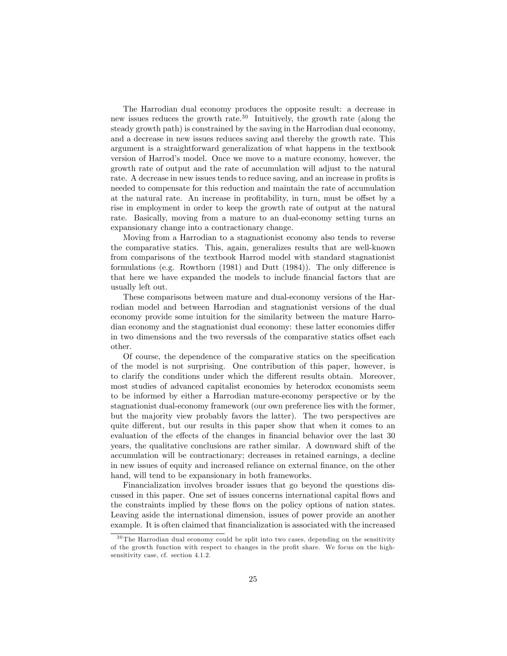The Harrodian dual economy produces the opposite result: a decrease in new issues reduces the growth rate.<sup>30</sup> Intuitively, the growth rate (along the steady growth path) is constrained by the saving in the Harrodian dual economy, and a decrease in new issues reduces saving and thereby the growth rate. This argument is a straightforward generalization of what happens in the textbook version of Harrod's model. Once we move to a mature economy, however, the growth rate of output and the rate of accumulation will adjust to the natural rate. A decrease in new issues tends to reduce saving, and an increase in profits is needed to compensate for this reduction and maintain the rate of accumulation at the natural rate. An increase in profitability, in turn, must be offset by a rise in employment in order to keep the growth rate of output at the natural rate. Basically, moving from a mature to an dual-economy setting turns an expansionary change into a contractionary change.

Moving from a Harrodian to a stagnationist economy also tends to reverse the comparative statics. This, again, generalizes results that are well-known from comparisons of the textbook Harrod model with standard stagnationist formulations (e.g. Rowthorn  $(1981)$  and Dutt  $(1984)$ ). The only difference is that here we have expanded the models to include financial factors that are usually left out.

These comparisons between mature and dual-economy versions of the Harrodian model and between Harrodian and stagnationist versions of the dual economy provide some intuition for the similarity between the mature Harrodian economy and the stagnationist dual economy: these latter economies differ in two dimensions and the two reversals of the comparative statics offset each other.

Of course, the dependence of the comparative statics on the specification of the model is not surprising. One contribution of this paper, however, is to clarify the conditions under which the different results obtain. Moreover, most studies of advanced capitalist economies by heterodox economists seem to be informed by either a Harrodian mature-economy perspective or by the stagnationist dual-economy framework (our own preference lies with the former, but the majority view probably favors the latter). The two perspectives are quite different, but our results in this paper show that when it comes to an evaluation of the effects of the changes in financial behavior over the last 30 years, the qualitative conclusions are rather similar. A downward shift of the accumulation will be contractionary; decreases in retained earnings, a decline in new issues of equity and increased reliance on external finance, on the other hand, will tend to be expansionary in both frameworks.

Financialization involves broader issues that go beyond the questions discussed in this paper. One set of issues concerns international capital áows and the constraints implied by these flows on the policy options of nation states. Leaving aside the international dimension, issues of power provide an another example. It is often claimed that Önancialization is associated with the increased

 $30$  The Harrodian dual economy could be split into two cases, depending on the sensitivity of the growth function with respect to changes in the profit share. We focus on the highsensitivity case, cf. section 4.1.2.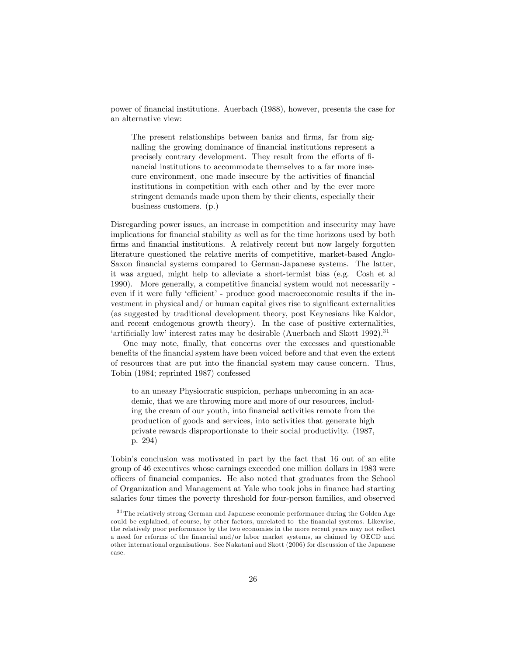power of Önancial institutions. Auerbach (1988), however, presents the case for an alternative view:

The present relationships between banks and firms, far from signalling the growing dominance of financial institutions represent a precisely contrary development. They result from the efforts of financial institutions to accommodate themselves to a far more insecure environment, one made insecure by the activities of financial institutions in competition with each other and by the ever more stringent demands made upon them by their clients, especially their business customers. (p.)

Disregarding power issues, an increase in competition and insecurity may have implications for financial stability as well as for the time horizons used by both firms and financial institutions. A relatively recent but now largely forgotten literature questioned the relative merits of competitive, market-based Anglo-Saxon financial systems compared to German-Japanese systems. The latter, it was argued, might help to alleviate a short-termist bias (e.g. Cosh et al 1990). More generally, a competitive Önancial system would not necessarily even if it were fully 'efficient' - produce good macroeconomic results if the investment in physical and/ or human capital gives rise to significant externalities (as suggested by traditional development theory, post Keynesians like Kaldor, and recent endogenous growth theory). In the case of positive externalities, 'artificially low' interest rates may be desirable (Auerbach and Skott  $1992$ ).<sup>31</sup>

One may note, Önally, that concerns over the excesses and questionable benefits of the financial system have been voiced before and that even the extent of resources that are put into the Önancial system may cause concern. Thus, Tobin (1984; reprinted 1987) confessed

to an uneasy Physiocratic suspicion, perhaps unbecoming in an academic, that we are throwing more and more of our resources, including the cream of our youth, into financial activities remote from the production of goods and services, into activities that generate high private rewards disproportionate to their social productivity. (1987, p. 294)

Tobinís conclusion was motivated in part by the fact that 16 out of an elite group of 46 executives whose earnings exceeded one million dollars in 1983 were o¢ cers of Önancial companies. He also noted that graduates from the School of Organization and Management at Yale who took jobs in Önance had starting salaries four times the poverty threshold for four-person families, and observed

<sup>&</sup>lt;sup>31</sup> The relatively strong German and Japanese economic performance during the Golden Age could be explained, of course, by other factors, unrelated to the financial systems. Likewise, the relatively poor performance by the two economies in the more recent years may not reflect a need for reforms of the Önancial and/or labor market systems, as claimed by OECD and other international organisations. See Nakatani and Skott (2006) for discussion of the Japanese case.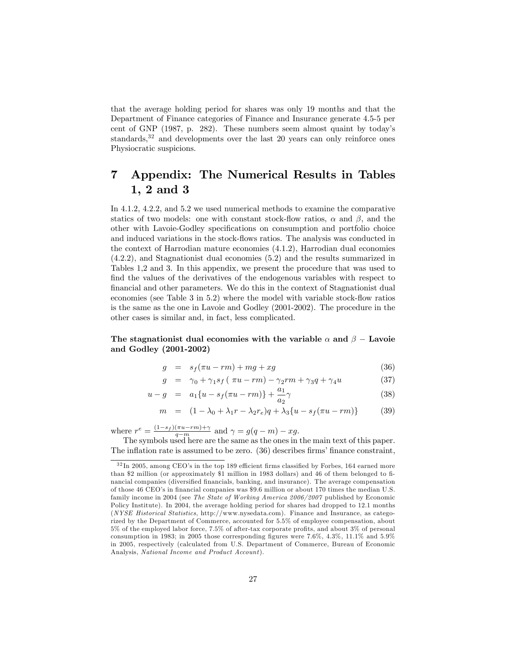that the average holding period for shares was only 19 months and that the Department of Finance categories of Finance and Insurance generate 4.5-5 per cent of GNP (1987, p. 282). These numbers seem almost quaint by todayís standards, $32$  and developments over the last 20 years can only reinforce ones Physiocratic suspicions.

## 7 Appendix: The Numerical Results in Tables 1, 2 and 3

In 4.1.2, 4.2.2, and 5.2 we used numerical methods to examine the comparative statics of two models: one with constant stock-flow ratios,  $\alpha$  and  $\beta$ , and the other with Lavoie-Godley specifications on consumption and portfolio choice and induced variations in the stock-flows ratios. The analysis was conducted in the context of Harrodian mature economies (4.1.2), Harrodian dual economies (4.2.2), and Stagnationist dual economies (5.2) and the results summarized in Tables 1,2 and 3. In this appendix, we present the procedure that was used to find the values of the derivatives of the endogenous variables with respect to Önancial and other parameters. We do this in the context of Stagnationist dual economies (see Table  $3$  in  $5.2$ ) where the model with variable stock-flow ratios is the same as the one in Lavoie and Godley (2001-2002). The procedure in the other cases is similar and, in fact, less complicated.

#### The stagnation is dual economies with the variable  $\alpha$  and  $\beta$  – Lavoie and Godley (2001-2002)

$$
g = s_f(\pi u - rm) + mg + xg \tag{36}
$$

$$
g = \gamma_0 + \gamma_1 s_f (\pi u - rm) - \gamma_2 rm + \gamma_3 q + \gamma_4 u \tag{37}
$$

$$
u - g = a_1 \{u - s_f(\pi u - rm)\} + \frac{a_1}{a_2} \gamma
$$
\n(38)

$$
m = (1 - \lambda_0 + \lambda_1 r - \lambda_2 r_e)q + \lambda_3 \{u - s_f(\pi u - rm)\}
$$
 (39)

where  $r^e = \frac{(1-s_f)(\pi u - r m) + \gamma}{q - m}$  and  $\gamma = g(q - m) - x g$ .

The symbols used here are the same as the ones in the main text of this paper. The inflation rate is assumed to be zero.  $(36)$  describes firms' finance constraint,

 $32 \text{ In } 2005$ , among CEO's in the top 189 efficient firms classified by Forbes, 164 earned more than \$2 million (or approximately \$1 million in 1983 dollars) and 46 of them belonged to financial companies (diversified financials, banking, and insurance). The average compensation of those 46 CEO's in financial companies was \$9.6 million or about 170 times the median U.S. family income in 2004 (see The State of Working America 2006/2007 published by Economic Policy Institute). In 2004, the average holding period for shares had dropped to 12.1 months (NYSE Historical Statistics, http://www.nysedata.com). Finance and Insurance, as categorized by the Department of Commerce, accounted for 5.5% of employee compensation, about  $5\%$  of the employed labor force,  $7.5\%$  of after-tax corporate profits, and about  $3\%$  of personal consumption in 1983; in 2005 those corresponding figures were  $7.6\%$ ,  $4.3\%$ ,  $11.1\%$  and  $5.9\%$ in 2005, respectively (calculated from U.S. Department of Commerce, Bureau of Economic Analysis, National Income and Product Account).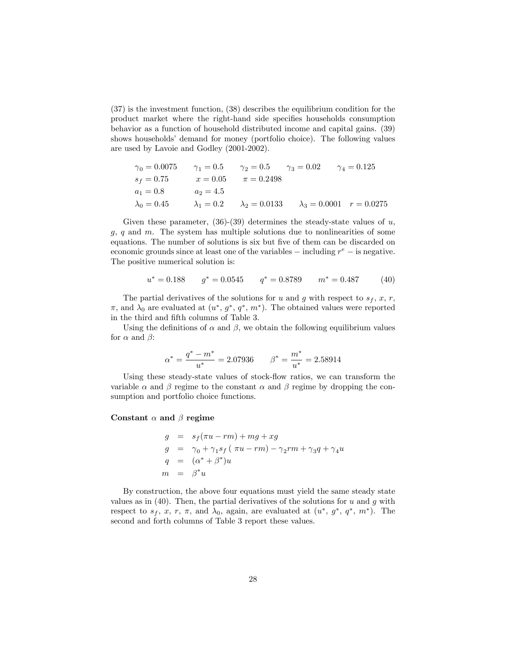(37) is the investment function, (38) describes the equilibrium condition for the product market where the right-hand side specifies households consumption behavior as a function of household distributed income and capital gains. (39) shows households' demand for money (portfolio choice). The following values are used by Lavoie and Godley (2001-2002).

| $\gamma_0 = 0.0075$ | $\gamma_1 = 0.5$  | $\gamma_2 = 0.5$     | $\gamma_3 = 0.02$    | $\gamma_4 = 0.125$ |
|---------------------|-------------------|----------------------|----------------------|--------------------|
| $s_f = 0.75$        | $x = 0.05$        | $\pi = 0.2498$       |                      |                    |
| $a_1 = 0.8$         | $a_2 = 4.5$       |                      |                      |                    |
| $\lambda_0 = 0.45$  | $\lambda_1 = 0.2$ | $\lambda_2 = 0.0133$ | $\lambda_3 = 0.0001$ | $r = 0.0275$       |

Given these parameter,  $(36)-(39)$  determines the steady-state values of u,  $g, q$  and  $m$ . The system has multiple solutions due to nonlinearities of some equations. The number of solutions is six but five of them can be discarded on economic grounds since at least one of the variables  $-$  including  $r^e$   $-$  is negative. The positive numerical solution is:

$$
u^* = 0.188 \qquad g^* = 0.0545 \qquad q^* = 0.8789 \qquad m^* = 0.487 \tag{40}
$$

The partial derivatives of the solutions for u and g with respect to  $s_f, x, r$ ,  $\pi$ , and  $\lambda_0$  are evaluated at  $(u^*, g^*, q^*, m^*)$ . The obtained values were reported in the third and fifth columns of Table 3.

Using the definitions of  $\alpha$  and  $\beta$ , we obtain the following equilibrium values for  $\alpha$  and  $\beta$ :

$$
\alpha^* = \frac{q^* - m^*}{u^*} = 2.07936 \qquad \beta^* = \frac{m^*}{u^*} = 2.58914
$$

Using these steady-state values of stock-flow ratios, we can transform the variable  $\alpha$  and  $\beta$  regime to the constant  $\alpha$  and  $\beta$  regime by dropping the consumption and portfolio choice functions.

#### Constant  $\alpha$  and  $\beta$  regime

$$
g = s_f(\pi u - rm) + mg + xg
$$
  
\n
$$
g = \gamma_0 + \gamma_1 s_f (\pi u - rm) - \gamma_2 rm + \gamma_3 q + \gamma_4 u
$$
  
\n
$$
q = (\alpha^* + \beta^*) u
$$
  
\n
$$
m = \beta^* u
$$

By construction, the above four equations must yield the same steady state values as in  $(40)$ . Then, the partial derivatives of the solutions for u and g with respect to  $s_f$ , x, r,  $\pi$ , and  $\lambda_0$ , again, are evaluated at  $(u^*, g^*, q^*, m^*)$ . The second and forth columns of Table 3 report these values.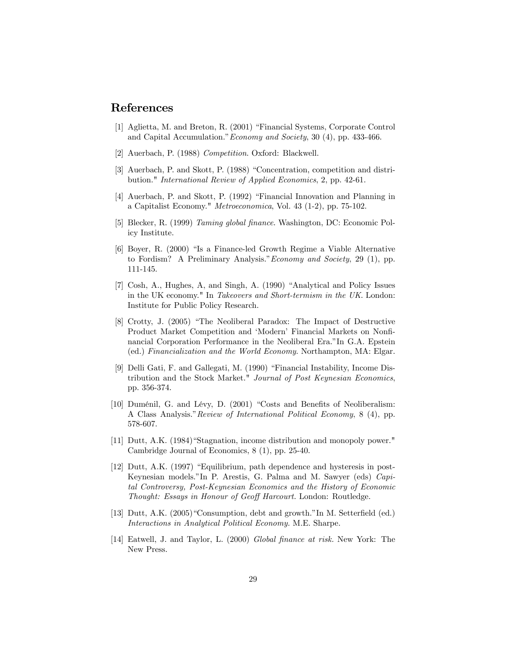## References

- [1] Aglietta, M. and Breton, R. (2001) "Financial Systems, Corporate Control and Capital Accumulation." *Economy and Society*, 30  $(4)$ , pp. 433-466.
- [2] Auerbach, P. (1988) Competition. Oxford: Blackwell.
- [3] Auerbach, P. and Skott, P. (1988) "Concentration, competition and distribution." International Review of Applied Economics, 2, pp. 42-61.
- [4] Auerbach, P. and Skott, P. (1992) "Financial Innovation and Planning in a Capitalist Economy." Metroeconomica, Vol. 43 (1-2), pp. 75-102.
- [5] Blecker, R. (1999) Taming global finance. Washington, DC: Economic Policy Institute.
- [6] Boyer, R. (2000) "Is a Finance-led Growth Regime a Viable Alternative to Fordism? A Preliminary Analysis." *Economy and Society*, 29 (1), pp. 111-145.
- [7] Cosh, A., Hughes, A., and Singh, A. (1990) "Analytical and Policy Issues in the UK economy." In Takeovers and Short-termism in the UK. London: Institute for Public Policy Research.
- [8] Crotty, J. (2005) "The Neoliberal Paradox: The Impact of Destructive Product Market Competition and 'Modern' Financial Markets on Nonfinancial Corporation Performance in the Neoliberal Era."In G.A. Epstein (ed.) Financialization and the World Economy. Northampton, MA: Elgar.
- [9] Delli Gati, F. and Gallegati, M. (1990) "Financial Instability, Income Distribution and the Stock Market." Journal of Post Keynesian Economics, pp. 356-374.
- $[10]$  Duménil, G. and Lévy, D.  $(2001)$  "Costs and Benefits of Neoliberalism: A Class Analysis." Review of International Political Economy, 8 (4), pp. 578-607.
- [11] Dutt, A.K. (1984) "Stagnation, income distribution and monopoly power." Cambridge Journal of Economics, 8 (1), pp. 25-40.
- [12] Dutt, A.K.  $(1997)$  "Equilibrium, path dependence and hysteresis in post-Keynesian models."In P. Arestis, G. Palma and M. Sawyer (eds) Capital Controversy, Post-Keynesian Economics and the History of Economic Thought: Essays in Honour of Geoff Harcourt. London: Routledge.
- [13] Dutt, A.K.  $(2005)$  "Consumption, debt and growth." In M. Setterfield (ed.) Interactions in Analytical Political Economy. M.E. Sharpe.
- [14] Eatwell, J. and Taylor, L. (2000) Global finance at risk. New York: The New Press.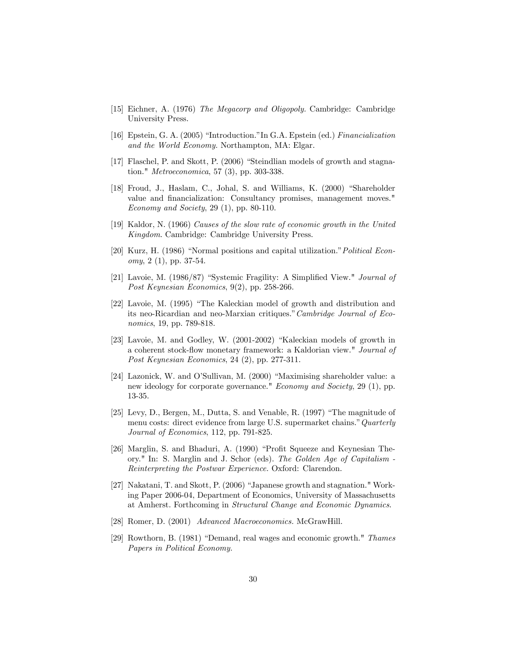- [15] Eichner, A. (1976) The Megacorp and Oligopoly. Cambridge: Cambridge University Press.
- [16] Epstein, G. A. (2005) "Introduction." In G.A. Epstein (ed.) Financialization and the World Economy. Northampton, MA: Elgar.
- [17] Flaschel, P. and Skott, P. (2006) "Steindlian models of growth and stagnation." Metroeconomica, 57 (3), pp. 303-338.
- [18] Froud, J., Haslam, C., Johal, S. and Williams, K. (2000) "Shareholder value and financialization: Consultancy promises, management moves." Economy and Society, 29 (1), pp. 80-110.
- [19] Kaldor, N. (1966) Causes of the slow rate of economic growth in the United Kingdom. Cambridge: Cambridge University Press.
- [20] Kurz, H. (1986) "Normal positions and capital utilization." Political Economy, 2 (1), pp. 37-54.
- [21] Lavoie, M.  $(1986/87)$  "Systemic Fragility: A Simplified View." Journal of Post Keynesian Economics, 9(2), pp. 258-266.
- $[22]$  Lavoie, M.  $(1995)$  "The Kaleckian model of growth and distribution and its neo-Ricardian and neo-Marxian critiques."  $Cambridge$  Journal of Economics, 19, pp. 789-818.
- [23] Lavoie, M. and Godley, W. (2001-2002) "Kaleckian models of growth in a coherent stock-flow monetary framework: a Kaldorian view." Journal of Post Keynesian Economics, 24 (2), pp. 277-311.
- [24] Lazonick, W. and O'Sullivan, M. (2000) "Maximising shareholder value: a new ideology for corporate governance." Economy and Society, 29 (1), pp. 13-35.
- $[25]$  Levy, D., Bergen, M., Dutta, S. and Venable, R.  $(1997)$  "The magnitude of menu costs: direct evidence from large U.S. supermarket chains." Quarterly Journal of Economics, 112, pp. 791-825.
- [26] Marglin, S. and Bhaduri, A. (1990) "Profit Squeeze and Keynesian Theory." In: S. Marglin and J. Schor (eds). The Golden Age of Capitalism - Reinterpreting the Postwar Experience. Oxford: Clarendon.
- [27] Nakatani, T. and Skott, P.  $(2006)$  "Japanese growth and stagnation." Working Paper 2006-04, Department of Economics, University of Massachusetts at Amherst. Forthcoming in Structural Change and Economic Dynamics.
- [28] Romer, D. (2001) Advanced Macroeconomics. McGrawHill.
- [29] Rowthorn, B.  $(1981)$  "Demand, real wages and economic growth." Thames Papers in Political Economy.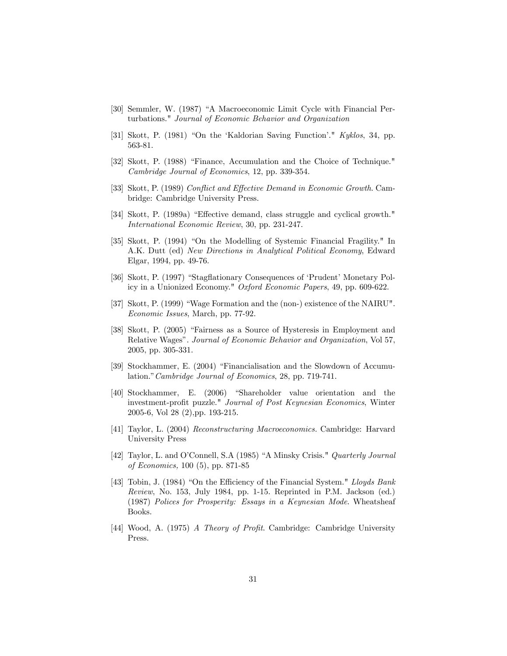- [30] Semmler, W. (1987) "A Macroeconomic Limit Cycle with Financial Perturbations." Journal of Economic Behavior and Organization
- [31] Skott, P. (1981) "On the 'Kaldorian Saving Function'."  $Kyklos, 34$ , pp. 563-81.
- [32] Skott, P. (1988) "Finance, Accumulation and the Choice of Technique." Cambridge Journal of Economics, 12, pp. 339-354.
- [33] Skott, P. (1989) Conflict and Effective Demand in Economic Growth. Cambridge: Cambridge University Press.
- [34] Skott, P. (1989a) "Effective demand, class struggle and cyclical growth." International Economic Review, 30, pp. 231-247.
- [35] Skott, P. (1994) "On the Modelling of Systemic Financial Fragility." In A.K. Dutt (ed) New Directions in Analytical Political Economy, Edward Elgar, 1994, pp. 49-76.
- [36] Skott, P. (1997) "Stagflationary Consequences of 'Prudent' Monetary Policy in a Unionized Economy." Oxford Economic Papers, 49, pp. 609-622.
- [37] Skott, P. (1999) "Wage Formation and the (non-) existence of the NAIRU". Economic Issues, March, pp. 77-92.
- [38] Skott, P. (2005) "Fairness as a Source of Hysteresis in Employment and Relative Wages". Journal of Economic Behavior and Organization, Vol 57, 2005, pp. 305-331.
- [39] Stockhammer, E. (2004) "Financialisation and the Slowdown of Accumulation." Cambridge Journal of Economics, 28, pp. 719-741.
- [40] Stockhammer, E. (2006) "Shareholder value orientation and the investment-profit puzzle." Journal of Post Keynesian Economics, Winter 2005-6, Vol 28 (2),pp. 193-215.
- [41] Taylor, L. (2004) Reconstructuring Macroeconomics. Cambridge: Harvard University Press
- [42] Taylor, L. and O'Connell, S.A (1985) "A Minsky Crisis." Quarterly Journal of Economics, 100 (5), pp. 871-85
- [43] Tobin, J. (1984) "On the Efficiency of the Financial System." Lloyds Bank Review, No. 153, July 1984, pp. 1-15. Reprinted in P.M. Jackson (ed.) (1987) Polices for Prosperity: Essays in a Keynesian Mode. Wheatsheaf Books.
- [44] Wood, A. (1975) A Theory of Profit. Cambridge: Cambridge University Press.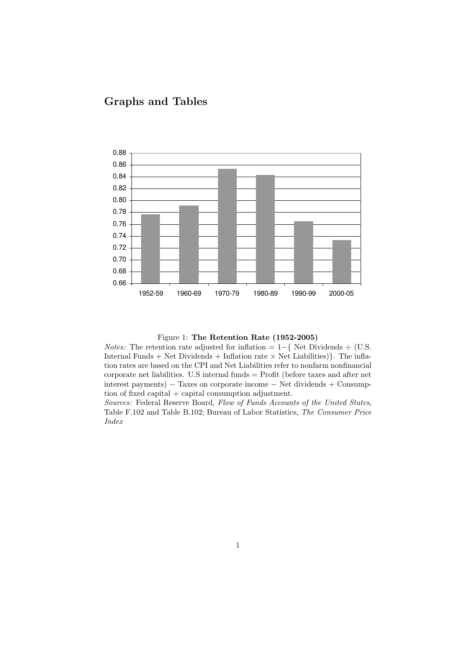## Graphs and Tables



Figure 1: The Retention Rate (1952-2005)

*Notes:* The retention rate adjusted for inflation =  $1-\{$  Net Dividends  $\div$  (U.S. Internal Funds + Net Dividends + Inflation rate  $\times$  Net Liabilities). The inflation rates are based on the CPI and Net Liabilities refer to nonfarm nonfinancial corporate net liabilities. U.S internal funds = Profit (before taxes and after net interest payments) − Taxes on corporate income − Net dividends + Consumption of fixed capital  $+$  capital consumption adjustment.

Sources: Federal Reserve Board, Flow of Funds Accounts of the United States, Table F.102 and Table B.102; Bureau of Labor Statistics, The Consumer Price Index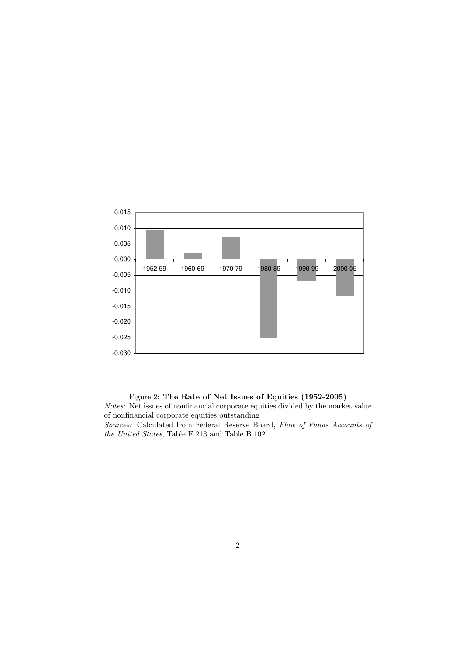

#### Figure 2: The Rate of Net Issues of Equities (1952-2005)

Notes: Net issues of nonfinancial corporate equities divided by the market value of nonfinancial corporate equities outstanding Sources: Calculated from Federal Reserve Board, Flow of Funds Accounts of

the United States, Table F.213 and Table B.102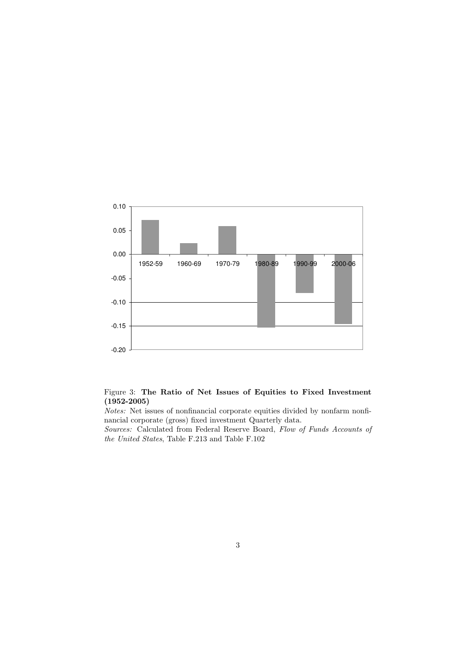

#### Figure 3: The Ratio of Net Issues of Equities to Fixed Investment (1952-2005)

Notes: Net issues of nonfinancial corporate equities divided by nonfarm nonfinancial corporate (gross) fixed investment Quarterly data.

Sources: Calculated from Federal Reserve Board, Flow of Funds Accounts of the United States, Table F.213 and Table F.102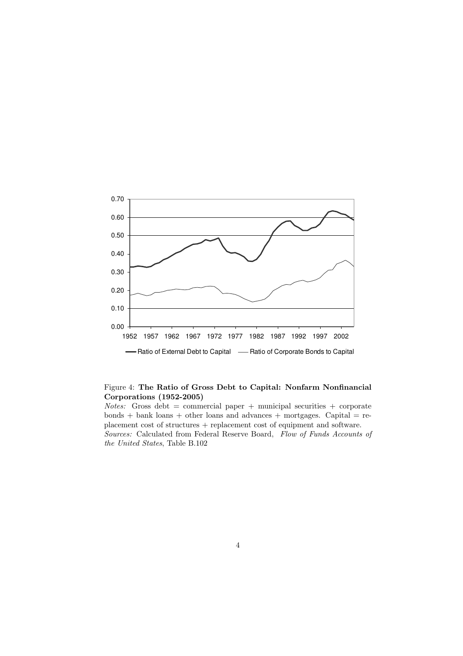

#### Figure 4: The Ratio of Gross Debt to Capital: Nonfarm Nonfinancial Corporations (1952-2005)

 $Notes: Gross debt = commercial paper + municipal securities + corporate$  $bonds + bank loans + other loans and advances + mortgages. Capital = re$ placement cost of structures + replacement cost of equipment and software. Sources: Calculated from Federal Reserve Board, Flow of Funds Accounts of the United States, Table B.102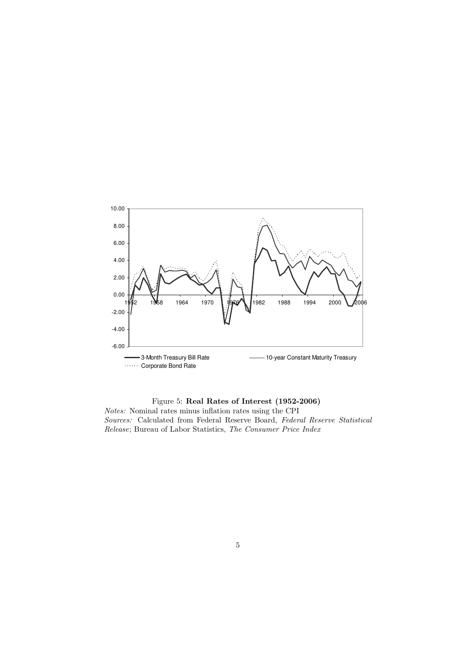

Figure 5: Real Rates of Interest (1952-2006) Notes: Nominal rates minus inflation rates using the CPI Sources: Calculated from Federal Reserve Board, Federal Reserve Statistical Release; Bureau of Labor Statistics, The Consumer Price Index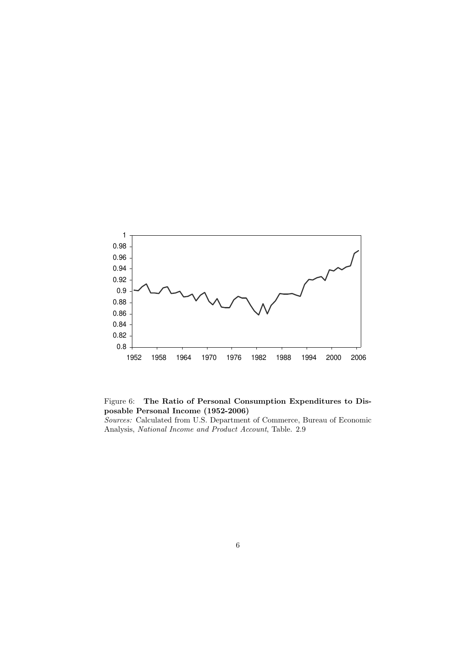

Figure 6: The Ratio of Personal Consumption Expenditures to Disposable Personal Income (1952-2006)

Sources: Calculated from U.S. Department of Commerce, Bureau of Economic Analysis, National Income and Product Account, Table. 2.9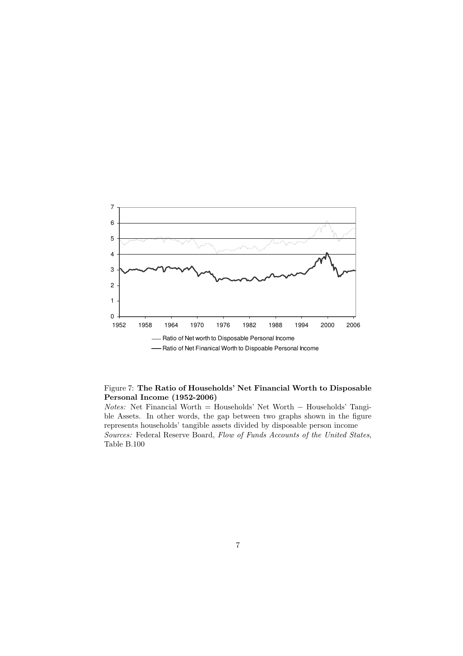

#### Figure 7: The Ratio of Households' Net Financial Worth to Disposable Personal Income (1952-2006)

Notes: Net Financial Worth = Households' Net Worth − Households' Tangible Assets. In other words, the gap between two graphs shown in the figure represents households' tangible assets divided by disposable person income Sources: Federal Reserve Board, Flow of Funds Accounts of the United States, Table B.100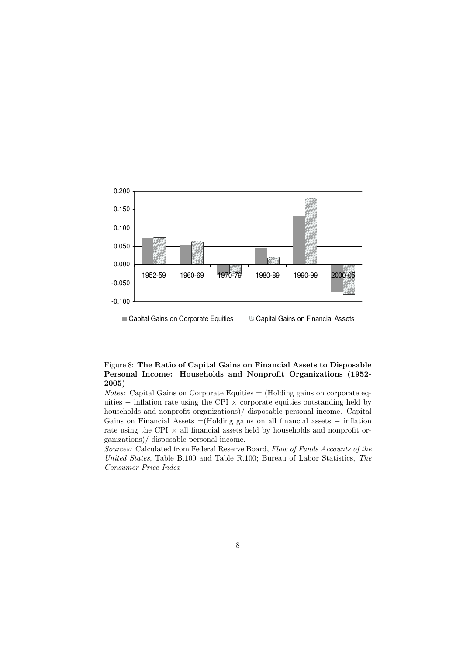

■ Capital Gains on Corporate Equities 
■ Capital Gains on Financial Assets

#### Figure 8: The Ratio of Capital Gains on Financial Assets to Disposable Personal Income: Households and Nonprofit Organizations (1952- 2005)

*Notes:* Capital Gains on Corporate Equities  $=$  (Holding gains on corporate equities  $-$  inflation rate using the CPI  $\times$  corporate equities outstanding held by households and nonprofit organizations)/ disposable personal income. Capital Gains on Financial Assets =(Holding gains on all financial assets − inflation rate using the CPI  $\times$  all financial assets held by households and nonprofit organizations)/ disposable personal income.

Sources: Calculated from Federal Reserve Board, Flow of Funds Accounts of the United States, Table B.100 and Table R.100; Bureau of Labor Statistics, The Consumer Price Index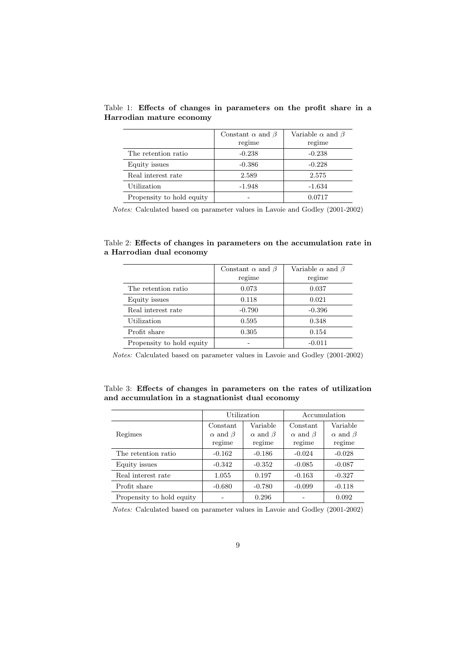|                           | Constant $\alpha$ and $\beta$ | Variable $\alpha$ and $\beta$ |  |  |
|---------------------------|-------------------------------|-------------------------------|--|--|
|                           | regime                        | regime                        |  |  |
| The retention ratio       | $-0.238$                      | $-0.238$                      |  |  |
| Equity issues             | $-0.386$                      | $-0.228$                      |  |  |
| Real interest rate        | 2.589                         | 2.575                         |  |  |
| Utilization               | $-1.948$                      | $-1.634$                      |  |  |
| Propensity to hold equity |                               | 0.0717                        |  |  |

Table 1: Effects of changes in parameters on the profit share in a Harrodian mature economy

Notes: Calculated based on parameter values in Lavoie and Godley (2001-2002)

Table 2: Effects of changes in parameters on the accumulation rate in a Harrodian dual economy

|                           | Constant $\alpha$ and $\beta$ | Variable $\alpha$ and $\beta$ |
|---------------------------|-------------------------------|-------------------------------|
|                           | regime                        | regime                        |
| The retention ratio       | 0.073                         | 0.037                         |
| Equity issues             | 0.118                         | 0.021                         |
| Real interest rate        | $-0.790$                      | $-0.396$                      |
| Utilization               | 0.595                         | 0.348                         |
| Profit share              | 0.305                         | 0.154                         |
| Propensity to hold equity |                               | $-0.011$                      |

Notes: Calculated based on parameter values in Lavoie and Godley (2001-2002)

Table 3: Effects of changes in parameters on the rates of utilization and accumulation in a stagnationist dual economy

|                           |                      | Utilization          | Accumulation         |                      |  |
|---------------------------|----------------------|----------------------|----------------------|----------------------|--|
|                           | Constant             | Variable             | Constant             | Variable             |  |
| Regimes                   | $\alpha$ and $\beta$ | $\alpha$ and $\beta$ | $\alpha$ and $\beta$ | $\alpha$ and $\beta$ |  |
|                           | regime               | regime               | regime               | regime               |  |
| The retention ratio       | $-0.162$             | $-0.186$             | $-0.024$             | $-0.028$             |  |
| Equity issues             | $-0.342$             | $-0.352$             | $-0.085$             | $-0.087$             |  |
| Real interest rate        | 1.055                | 0.197                | $-0.163$             | $-0.327$             |  |
| Profit share              | $-0.680$             | $-0.780$             | $-0.099$             | $-0.118$             |  |
| Propensity to hold equity |                      | 0.296                |                      | 0.092                |  |

Notes: Calculated based on parameter values in Lavoie and Godley (2001-2002)